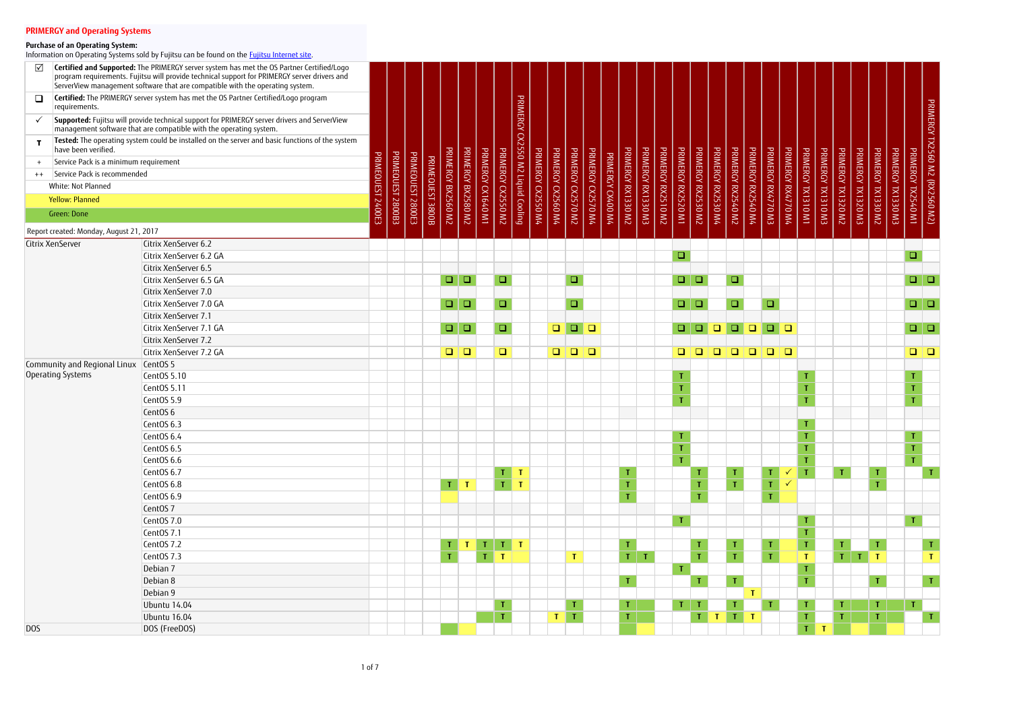| $\sqrt{}$    |                                                                      | Certified and Supported: The PRIMERGY server system has met the OS Partner Certified/Logo<br>program requirements. Fujitsu will provide technical support for PRIMERGY server drivers and<br>ServerView management software that are compatible with the operating system. |             |                   |                   |                  |                                                                                    |                    |                    |                         |                                   |                    |                    |                                                                       |                    |                 |                    |                    |                                          |                         |                    |                         |                    |                                                                       |                    |                    |                    |                    |                    |                    |                    |                                                                                    |                                |
|--------------|----------------------------------------------------------------------|----------------------------------------------------------------------------------------------------------------------------------------------------------------------------------------------------------------------------------------------------------------------------|-------------|-------------------|-------------------|------------------|------------------------------------------------------------------------------------|--------------------|--------------------|-------------------------|-----------------------------------|--------------------|--------------------|-----------------------------------------------------------------------|--------------------|-----------------|--------------------|--------------------|------------------------------------------|-------------------------|--------------------|-------------------------|--------------------|-----------------------------------------------------------------------|--------------------|--------------------|--------------------|--------------------|--------------------|--------------------|--------------------|------------------------------------------------------------------------------------|--------------------------------|
| $\Box$       | requirements.                                                        | Certified: The PRIMERGY server system has met the OS Partner Certified/Logo program                                                                                                                                                                                        |             |                   |                   |                  |                                                                                    |                    |                    |                         |                                   |                    |                    |                                                                       |                    |                 |                    |                    |                                          |                         |                    |                         |                    |                                                                       |                    |                    |                    |                    |                    |                    |                    |                                                                                    |                                |
| $\checkmark$ |                                                                      | Supported: Fujitsu will provide technical support for PRIMERGY server drivers and ServerView<br>management software that are compatible with the operating system.                                                                                                         |             |                   |                   |                  |                                                                                    |                    |                    |                         | PRIMERGY CX2550 M2 Liquid Cooling |                    |                    |                                                                       |                    |                 |                    |                    |                                          |                         |                    |                         |                    |                                                                       |                    |                    |                    |                    |                    |                    |                    |                                                                                    | PRIMERGY TX2560 M2 (RX2560 M2) |
|              |                                                                      | Tested: The operating system could be installed on the server and basic functions of the system                                                                                                                                                                            |             |                   |                   |                  |                                                                                    |                    |                    |                         |                                   |                    |                    |                                                                       |                    |                 |                    |                    |                                          |                         |                    |                         |                    |                                                                       |                    |                    |                    |                    |                    |                    |                    |                                                                                    |                                |
|              | have been verified.                                                  |                                                                                                                                                                                                                                                                            | <b>PRIM</b> |                   |                   |                  | <b>PRIMERGY BX2560 M2</b>                                                          | PRIMERGY BX2580 M2 | PRIMERGY CX1640 M1 | PRIMERGY                |                                   |                    |                    | PRIMERGY CX2570 M2                                                    |                    |                 | PRIMERGY RX1330 M2 | PRIMERGY RX1330 M3 | PRIMERGY RX2510 M2<br>PRIMERGY RX2520 M1 | PRIMERGY RX2530 M2      | PRIMERGY RX2530 M4 | PRIMERGY RX2540 M2      | PRIMERGY RX2540 M4 | PRIMERGY RX4770 M3                                                    | PRIMERGY RX4770 M4 | PRIMERGY TX1310 M1 | PRIMERGY TX1310 M3 | PRIMERGY TX1320 M2 | PRIMERGY TX1320 M3 |                    | PRIMERGY TX1330 M3 | PRIMERGY TX2540 M1                                                                 |                                |
|              | Service Pack is a minimum requirement<br>Service Pack is recommended |                                                                                                                                                                                                                                                                            |             |                   |                   |                  |                                                                                    |                    |                    |                         |                                   |                    |                    |                                                                       |                    |                 |                    |                    |                                          |                         |                    |                         |                    |                                                                       |                    |                    |                    |                    |                    |                    |                    |                                                                                    |                                |
| $++$         | White: Not Planned                                                   |                                                                                                                                                                                                                                                                            | EG          |                   | <b>PRIMEQUEST</b> |                  |                                                                                    |                    |                    |                         |                                   |                    |                    |                                                                       |                    | PRIMERCY        |                    |                    |                                          |                         |                    |                         |                    |                                                                       |                    |                    |                    |                    |                    |                    |                    |                                                                                    |                                |
|              | <b>Yellow: Planned</b>                                               |                                                                                                                                                                                                                                                                            |             |                   |                   |                  |                                                                                    |                    |                    |                         |                                   |                    |                    |                                                                       |                    |                 |                    |                    |                                          |                         |                    |                         |                    |                                                                       |                    |                    |                    |                    |                    |                    |                    |                                                                                    |                                |
|              |                                                                      |                                                                                                                                                                                                                                                                            | 2400E3      | PRIMEQUEST 2800B3 | [2800E3           | PRIMEQUEST 3800B |                                                                                    |                    |                    | CX2550 M2               |                                   | PRIMERGY CX2550 M4 | PRIMERGY CX2560 M4 |                                                                       | PRIMERGY CX2570 M4 | <b>CK400 M4</b> |                    |                    |                                          |                         |                    |                         |                    |                                                                       |                    |                    |                    |                    |                    | PRIMERGY TX1330 M2 |                    |                                                                                    |                                |
|              | Green: Done                                                          |                                                                                                                                                                                                                                                                            |             |                   |                   |                  |                                                                                    |                    |                    |                         |                                   |                    |                    |                                                                       |                    |                 |                    |                    |                                          |                         |                    |                         |                    |                                                                       |                    |                    |                    |                    |                    |                    |                    |                                                                                    |                                |
|              | Report created: Monday, August 21, 2017                              |                                                                                                                                                                                                                                                                            |             |                   |                   |                  |                                                                                    |                    |                    |                         |                                   |                    |                    |                                                                       |                    |                 |                    |                    |                                          |                         |                    |                         |                    |                                                                       |                    |                    |                    |                    |                    |                    |                    |                                                                                    |                                |
|              | Citrix XenServer                                                     | Citrix XenServer 6.2                                                                                                                                                                                                                                                       |             |                   |                   |                  |                                                                                    |                    |                    |                         |                                   |                    |                    |                                                                       |                    |                 |                    |                    |                                          |                         |                    |                         |                    |                                                                       |                    |                    |                    |                    |                    |                    |                    |                                                                                    |                                |
|              |                                                                      | Citrix XenServer 6.2 GA                                                                                                                                                                                                                                                    |             |                   |                   |                  |                                                                                    |                    |                    |                         |                                   |                    |                    |                                                                       |                    |                 |                    |                    | $\Box$                                   |                         |                    |                         |                    |                                                                       |                    |                    |                    |                    |                    |                    |                    | $\Box$                                                                             |                                |
|              |                                                                      | Citrix XenServer 6.5                                                                                                                                                                                                                                                       |             |                   |                   |                  |                                                                                    |                    |                    |                         |                                   |                    |                    |                                                                       |                    |                 |                    |                    |                                          |                         |                    |                         |                    |                                                                       |                    |                    |                    |                    |                    |                    |                    |                                                                                    |                                |
|              |                                                                      | Citrix XenServer 6.5 GA                                                                                                                                                                                                                                                    |             |                   |                   |                  | $\Box$                                                                             | $\Box$             |                    | $\Box$                  |                                   |                    |                    | $\Box$                                                                |                    |                 |                    |                    |                                          | $\Box   \Box$           |                    | $\Box$                  |                    |                                                                       |                    |                    |                    |                    |                    |                    |                    |                                                                                    |                                |
|              |                                                                      | Citrix XenServer 7.0                                                                                                                                                                                                                                                       |             |                   |                   |                  |                                                                                    |                    |                    |                         |                                   |                    |                    |                                                                       |                    |                 |                    |                    |                                          |                         |                    |                         |                    |                                                                       |                    |                    |                    |                    |                    |                    |                    |                                                                                    |                                |
|              |                                                                      | Citrix XenServer 7.0 GA                                                                                                                                                                                                                                                    |             |                   |                   |                  | $\Box$                                                                             | $\Box$             |                    | $\Box$                  |                                   |                    |                    | $\Box$                                                                |                    |                 |                    |                    | $\Box$                                   | $\Box$                  |                    | $\Box$                  |                    | $\Box$                                                                |                    |                    |                    |                    |                    |                    |                    | $\Box$                                                                             |                                |
|              |                                                                      | Citrix XenServer 7.1                                                                                                                                                                                                                                                       |             |                   |                   |                  |                                                                                    |                    |                    |                         |                                   |                    |                    |                                                                       |                    |                 |                    |                    |                                          |                         |                    |                         |                    |                                                                       |                    |                    |                    |                    |                    |                    |                    |                                                                                    |                                |
|              |                                                                      | Citrix XenServer 7.1 GA                                                                                                                                                                                                                                                    |             |                   |                   |                  | $\Box$                                                                             | $\Box$             |                    | $\Box$                  |                                   |                    | $\Box$             | $\begin{array}{c c c c c} \hline \textbf{u} & \textbf{u} \end{array}$ |                    |                 |                    |                    | $\Box$                                   | $\Box$                  | $\Box$             | $\Box$                  | $\Box$             | $\begin{array}{c c c c c} \hline \textbf{u} & \textbf{u} \end{array}$ |                    |                    |                    |                    |                    |                    |                    | $\begin{array}{c c c c c} \hline \textbf{u} & \textbf{u} & \textbf{u} \end{array}$ |                                |
|              |                                                                      | Citrix XenServer 7.2                                                                                                                                                                                                                                                       |             |                   |                   |                  |                                                                                    |                    |                    |                         |                                   |                    |                    |                                                                       |                    |                 |                    |                    |                                          |                         |                    |                         |                    |                                                                       |                    |                    |                    |                    |                    |                    |                    |                                                                                    |                                |
|              |                                                                      | Citrix XenServer 7.2 GA                                                                                                                                                                                                                                                    |             |                   |                   |                  | $\begin{array}{c c c c c} \hline \textbf{C} & \textbf{C} & \textbf{C} \end{array}$ |                    |                    | $\Box$                  |                                   |                    | $\Box$             |                                                                       |                    |                 |                    |                    | $\Box$                                   | <b>D</b>                | $\Box$             | $\Box$                  |                    | 000                                                                   |                    |                    |                    |                    |                    |                    |                    | $\begin{array}{c c c c c} \hline \textbf{u} & \textbf{u} \end{array}$              |                                |
|              | Community and Regional Linux                                         | CentOS <sub>5</sub>                                                                                                                                                                                                                                                        |             |                   |                   |                  |                                                                                    |                    |                    |                         |                                   |                    |                    |                                                                       |                    |                 |                    |                    |                                          |                         |                    |                         |                    |                                                                       |                    |                    |                    |                    |                    |                    |                    |                                                                                    |                                |
|              | Operating Systems                                                    | CentOS 5.10                                                                                                                                                                                                                                                                |             |                   |                   |                  |                                                                                    |                    |                    |                         |                                   |                    |                    |                                                                       |                    |                 |                    |                    | $\mathbf T$                              |                         |                    |                         |                    |                                                                       |                    |                    |                    |                    |                    |                    |                    | $\mathbf T$                                                                        |                                |
|              |                                                                      | CentOS 5.11                                                                                                                                                                                                                                                                |             |                   |                   |                  |                                                                                    |                    |                    |                         |                                   |                    |                    |                                                                       |                    |                 |                    |                    | $\mathsf T$                              |                         |                    |                         |                    |                                                                       |                    | $\mathbf T$        |                    |                    |                    |                    |                    | $\mathsf T$                                                                        |                                |
|              |                                                                      | CentOS 5.9                                                                                                                                                                                                                                                                 |             |                   |                   |                  |                                                                                    |                    |                    |                         |                                   |                    |                    |                                                                       |                    |                 |                    |                    | $\mathbf{T}$                             |                         |                    |                         |                    |                                                                       |                    |                    |                    |                    |                    |                    |                    | $\mathbf{I}$                                                                       |                                |
|              |                                                                      | CentOS <sub>6</sub>                                                                                                                                                                                                                                                        |             |                   |                   |                  |                                                                                    |                    |                    |                         |                                   |                    |                    |                                                                       |                    |                 |                    |                    |                                          |                         |                    |                         |                    |                                                                       |                    |                    |                    |                    |                    |                    |                    |                                                                                    |                                |
|              |                                                                      | CentOS 6.3                                                                                                                                                                                                                                                                 |             |                   |                   |                  |                                                                                    |                    |                    |                         |                                   |                    |                    |                                                                       |                    |                 |                    |                    |                                          |                         |                    |                         |                    |                                                                       |                    |                    |                    |                    |                    |                    |                    |                                                                                    |                                |
|              |                                                                      | CentOS 6.4                                                                                                                                                                                                                                                                 |             |                   |                   |                  |                                                                                    |                    |                    |                         |                                   |                    |                    |                                                                       |                    |                 |                    |                    | $\mathbf{T}$                             |                         |                    |                         |                    |                                                                       |                    | $\mathbf{T}$       |                    |                    |                    |                    |                    | $\mathbf{T}$                                                                       |                                |
|              |                                                                      | CentOS 6.5                                                                                                                                                                                                                                                                 |             |                   |                   |                  |                                                                                    |                    |                    |                         |                                   |                    |                    |                                                                       |                    |                 |                    |                    | $\mathsf T$                              |                         |                    |                         |                    |                                                                       |                    | $\mathbf T$        |                    |                    |                    |                    |                    | $\mathbf T$                                                                        |                                |
|              |                                                                      | CentOS 6.6                                                                                                                                                                                                                                                                 |             |                   |                   |                  |                                                                                    |                    |                    |                         |                                   |                    |                    |                                                                       |                    |                 |                    |                    | $\mathbf{T}$                             |                         |                    |                         |                    |                                                                       |                    |                    |                    |                    |                    |                    |                    | $\mathbf T$                                                                        |                                |
|              |                                                                      | CentOS 6.7                                                                                                                                                                                                                                                                 |             |                   |                   |                  |                                                                                    |                    |                    | T                       | $\mathbf{T}$                      |                    |                    |                                                                       |                    |                 | т                  |                    |                                          |                         |                    | T.                      |                    |                                                                       |                    |                    |                    | $\mathbf T$        |                    | $\mathbf T$        |                    |                                                                                    | $\mathbf T$                    |
|              |                                                                      | CentOS 6.8                                                                                                                                                                                                                                                                 |             |                   |                   |                  | T                                                                                  | $\mathbf{T}$       |                    | $\overline{\mathbf{L}}$ | $\mathbf{T}$                      |                    |                    |                                                                       |                    |                 | T                  |                    |                                          |                         |                    | $\mathbf T$             |                    | T                                                                     |                    |                    |                    |                    |                    | $\mathbf{I}$       |                    |                                                                                    |                                |
|              |                                                                      | CentOS 6.9                                                                                                                                                                                                                                                                 |             |                   |                   |                  |                                                                                    |                    |                    |                         |                                   |                    |                    |                                                                       |                    |                 | T.                 |                    |                                          | T                       |                    |                         |                    | T.                                                                    |                    |                    |                    |                    |                    |                    |                    |                                                                                    |                                |
|              |                                                                      | CentOS <sub>7</sub>                                                                                                                                                                                                                                                        |             |                   |                   |                  |                                                                                    |                    |                    |                         |                                   |                    |                    |                                                                       |                    |                 |                    |                    |                                          |                         |                    |                         |                    |                                                                       |                    |                    |                    |                    |                    |                    |                    |                                                                                    |                                |
|              |                                                                      | CentOS 7.0                                                                                                                                                                                                                                                                 |             |                   |                   |                  |                                                                                    |                    |                    |                         |                                   |                    |                    |                                                                       |                    |                 |                    |                    | $\mathbf T$                              |                         |                    |                         |                    |                                                                       |                    | T                  |                    |                    |                    |                    |                    | $\mathbf T$                                                                        |                                |
|              |                                                                      | CentOS 7.1                                                                                                                                                                                                                                                                 |             |                   |                   |                  |                                                                                    |                    |                    |                         |                                   |                    |                    |                                                                       |                    |                 |                    |                    |                                          |                         |                    |                         |                    |                                                                       |                    |                    |                    |                    |                    |                    |                    |                                                                                    |                                |
|              |                                                                      | CentOS 7.2                                                                                                                                                                                                                                                                 |             |                   |                   |                  | $\mathbf{T}$                                                                       |                    | T                  |                         | $T$ $T$                           |                    |                    |                                                                       |                    |                 | $\mathbf{T}$       |                    |                                          |                         |                    | T.                      |                    |                                                                       |                    | $\mathbf T$        |                    | T.                 |                    | $\mathbf T$        |                    |                                                                                    | T.                             |
|              |                                                                      | CentOS 7.3                                                                                                                                                                                                                                                                 |             |                   |                   |                  | $\mathbf{T}$                                                                       |                    | T                  | $\mathbf{T}$            |                                   |                    |                    | $\mathbf{T}$                                                          |                    |                 | $T$ $T$            |                    |                                          | $\overline{\mathbf{I}}$ |                    | $\overline{\mathsf{T}}$ |                    | T                                                                     |                    | $\mathbf{T}$       |                    |                    | $T$ $T$ $T$        |                    |                    |                                                                                    | $\mathbf{T}$                   |
|              |                                                                      | Debian 7                                                                                                                                                                                                                                                                   |             |                   |                   |                  |                                                                                    |                    |                    |                         |                                   |                    |                    |                                                                       |                    |                 |                    |                    | $\mathbf T$                              |                         |                    |                         |                    |                                                                       |                    |                    |                    |                    |                    |                    |                    |                                                                                    |                                |
|              |                                                                      | Debian 8                                                                                                                                                                                                                                                                   |             |                   |                   |                  |                                                                                    |                    |                    |                         |                                   |                    |                    |                                                                       |                    |                 | T.                 |                    |                                          |                         |                    | $\mathbf{T}$            |                    |                                                                       |                    | $\mathsf T$        |                    |                    |                    | $\mathbf{T}$       |                    |                                                                                    | T.                             |
|              |                                                                      | Debian 9                                                                                                                                                                                                                                                                   |             |                   |                   |                  |                                                                                    |                    |                    |                         |                                   |                    |                    |                                                                       |                    |                 |                    |                    |                                          |                         |                    |                         | $\mathbf{T}$       |                                                                       |                    |                    |                    |                    |                    |                    |                    |                                                                                    |                                |
|              |                                                                      | Ubuntu 14.04                                                                                                                                                                                                                                                               |             |                   |                   |                  |                                                                                    |                    |                    | $\mathbf T$             |                                   |                    |                    | $\mathbf T$                                                           |                    |                 | $\mathbf{T}$       |                    |                                          | $T$ $T$                 |                    | T.                      |                    | $\mathbf{T}$                                                          |                    | $\mathbf{T}$       |                    | T.                 |                    | $\mathbf{T}$       |                    | $\mathbf{T}$                                                                       |                                |
|              |                                                                      | Ubuntu 16.04                                                                                                                                                                                                                                                               |             |                   |                   |                  |                                                                                    |                    |                    | $\mathbf{T}$            |                                   |                    | $\mathbf{T}$       | $\mathbf T$                                                           |                    |                 | $\mathbf T$        |                    |                                          | $\mathbf{T}$            | $\mathbf{T}$       | T                       | $\mathbf{T}$       |                                                                       |                    |                    |                    | T                  |                    | $\mathbf{T}$ .     |                    |                                                                                    | T.                             |
| <b>DOS</b>   |                                                                      | DOS (FreeDOS)                                                                                                                                                                                                                                                              |             |                   |                   |                  |                                                                                    |                    |                    |                         |                                   |                    |                    |                                                                       |                    |                 |                    |                    |                                          |                         |                    |                         |                    |                                                                       |                    | $\mathbf{T}$       | $\mathbf{T}$       |                    |                    |                    |                    |                                                                                    |                                |

### **Purchase of an Operating System:**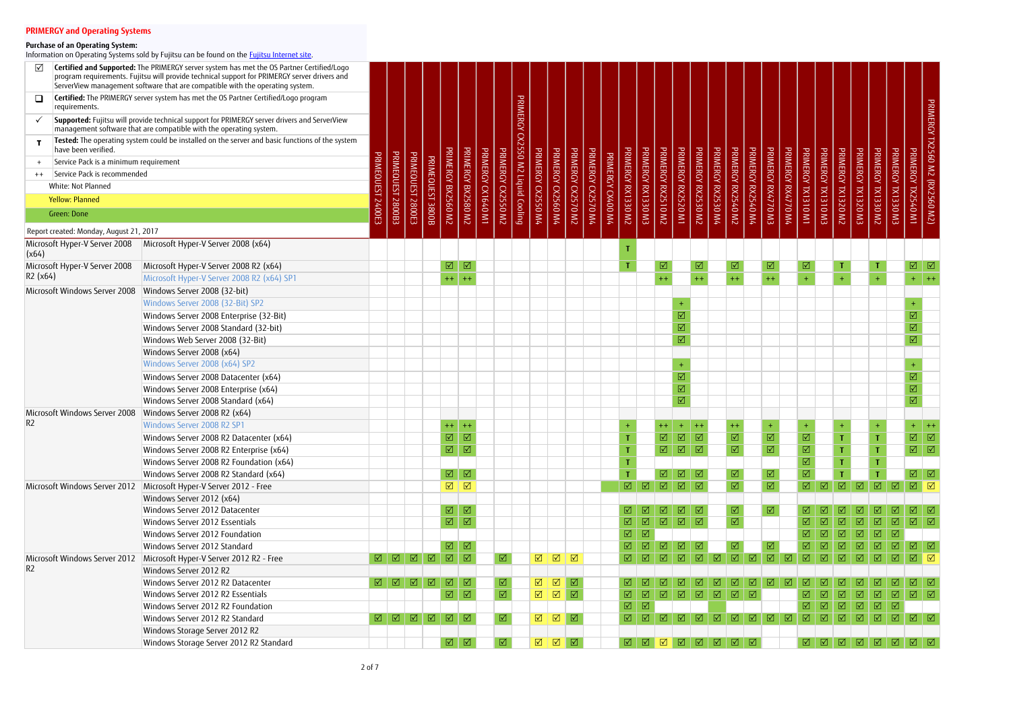| ☑                                       | Certified and Supported: The PRIMERGY server system has met the OS Partner Certified/Logo<br>program requirements. Fujitsu will provide technical support for PRIMERGY server drivers and<br>ServerView management software that are compatible with the operating system. |        |                              |                   |                  |                         |                         |          |                    |                                   |                              |                    |                         |                    |                   |                             |                     |                           |                                                                                                                                                         |                         |                    |                     |                         |                         |                    |                              |                    |                      |                           |                     |                      |                                                                                                                                                                               |                                |
|-----------------------------------------|----------------------------------------------------------------------------------------------------------------------------------------------------------------------------------------------------------------------------------------------------------------------------|--------|------------------------------|-------------------|------------------|-------------------------|-------------------------|----------|--------------------|-----------------------------------|------------------------------|--------------------|-------------------------|--------------------|-------------------|-----------------------------|---------------------|---------------------------|---------------------------------------------------------------------------------------------------------------------------------------------------------|-------------------------|--------------------|---------------------|-------------------------|-------------------------|--------------------|------------------------------|--------------------|----------------------|---------------------------|---------------------|----------------------|-------------------------------------------------------------------------------------------------------------------------------------------------------------------------------|--------------------------------|
| Q<br>requirements.                      | Certified: The PRIMERGY server system has met the OS Partner Certified/Logo program                                                                                                                                                                                        |        |                              |                   |                  |                         |                         |          |                    |                                   |                              |                    |                         |                    |                   |                             |                     |                           |                                                                                                                                                         |                         |                    |                     |                         |                         |                    |                              |                    |                      |                           |                     |                      |                                                                                                                                                                               |                                |
|                                         | Supported: Fujitsu will provide technical support for PRIMERGY server drivers and ServerView<br>management software that are compatible with the operating system.                                                                                                         |        |                              |                   |                  |                         |                         |          |                    | PRIMERGY CX2550 M2 Liquid Cooling |                              |                    |                         |                    |                   |                             |                     |                           |                                                                                                                                                         |                         |                    |                     |                         |                         |                    |                              |                    |                      |                           |                     |                      |                                                                                                                                                                               | PRIMERGY TX2560 M2 (RX2560 M2) |
| have been verified.                     | Tested: The operating system could be installed on the server and basic functions of the system                                                                                                                                                                            |        |                              |                   |                  |                         |                         |          |                    |                                   |                              |                    |                         |                    |                   |                             |                     |                           |                                                                                                                                                         |                         |                    |                     |                         |                         |                    |                              |                    |                      |                           |                     |                      |                                                                                                                                                                               |                                |
| Service Pack is a minimum requirement   |                                                                                                                                                                                                                                                                            |        |                              |                   |                  |                         |                         |          |                    |                                   |                              |                    |                         |                    |                   |                             |                     |                           |                                                                                                                                                         |                         |                    |                     |                         |                         |                    |                              |                    |                      |                           |                     |                      |                                                                                                                                                                               |                                |
| Service Pack is recommended<br>$++$     |                                                                                                                                                                                                                                                                            |        |                              |                   |                  |                         |                         | PRIMERGY |                    |                                   |                              |                    |                         |                    |                   |                             |                     |                           |                                                                                                                                                         |                         |                    |                     |                         |                         |                    |                              |                    |                      |                           |                     |                      | PRIMERGY                                                                                                                                                                      |                                |
| White: Not Planned                      |                                                                                                                                                                                                                                                                            |        |                              |                   |                  |                         |                         |          |                    |                                   |                              |                    |                         |                    |                   |                             |                     |                           |                                                                                                                                                         |                         |                    |                     |                         |                         |                    |                              |                    |                      |                           |                     |                      |                                                                                                                                                                               |                                |
| <b>Yellow: Planned</b>                  |                                                                                                                                                                                                                                                                            |        |                              |                   |                  |                         |                         |          |                    |                                   |                              |                    |                         |                    |                   |                             |                     |                           |                                                                                                                                                         |                         |                    |                     |                         |                         |                    |                              |                    |                      |                           |                     |                      |                                                                                                                                                                               |                                |
| Green: Done                             |                                                                                                                                                                                                                                                                            | 2400E3 | PRIMEQUEST 2800B3            | PRIMEQUEST 2800E3 | PRIMEQUEST 3800B | PRIMERGY BX2560 M2      | PRIMERGY BX2580 M2      | LW0+9LXO | PRIMERGY CX2550 M2 |                                   | PRIMERGY CX2550 M4           | PRIMERGY CX2560 M4 | PRIMERGY CX2570 M2      | PRIMERGY CX2570 M4 | PRIMERGY CX400 M4 | <b>PRIMERGY RX1330 M2</b>   | PRIMERGY RX1330 M3  | <b>PRIMERGY RX2510 M2</b> | PRIMERGY RX2520 M1                                                                                                                                      | PRIMERGY RX2530 M2      | PRIMERGY RX2530 M4 | PRIMERGY RX2540 M2  | PRIMERGY RX2540 M4      | PRIMERGY RX4770 M3      | PRIMERGY RX4770 M4 | PRIMERGY TX1310 M1           | PRIMERGY TX1310 M3 | PRIMERGY TX1320 M2   | PRIMERGY TX1320 M3        | PRIMERGY TX1330 M2  | PRIMERGY TX1330 M3   | TX2540 M1                                                                                                                                                                     |                                |
|                                         |                                                                                                                                                                                                                                                                            |        |                              |                   |                  |                         |                         |          |                    |                                   |                              |                    |                         |                    |                   |                             |                     |                           |                                                                                                                                                         |                         |                    |                     |                         |                         |                    |                              |                    |                      |                           |                     |                      |                                                                                                                                                                               |                                |
| Report created: Monday, August 21, 2017 |                                                                                                                                                                                                                                                                            |        |                              |                   |                  |                         |                         |          |                    |                                   |                              |                    |                         |                    |                   |                             |                     |                           |                                                                                                                                                         |                         |                    |                     |                         |                         |                    |                              |                    |                      |                           |                     |                      |                                                                                                                                                                               |                                |
| Microsoft Hyper-V Server 2008<br>(x64)  | Microsoft Hyper-V Server 2008 (x64)                                                                                                                                                                                                                                        |        |                              |                   |                  |                         |                         |          |                    |                                   |                              |                    |                         |                    |                   |                             |                     |                           |                                                                                                                                                         |                         |                    |                     |                         |                         |                    |                              |                    |                      |                           |                     |                      |                                                                                                                                                                               |                                |
| Microsoft Hyper-V Server 2008           | Microsoft Hyper-V Server 2008 R2 (x64)                                                                                                                                                                                                                                     |        |                              |                   |                  | $\boxed{\mathbf{N}}$    | $\boxed{\triangle}$     |          |                    |                                   |                              |                    |                         |                    |                   | Т                           |                     | ☑                         |                                                                                                                                                         | ☑                       |                    | $\boxed{\triangle}$ |                         | ☑                       |                    | ☑                            |                    | ा                    |                           |                     |                      | $\boxed{\mathbb{Z}}$                                                                                                                                                          |                                |
| R2 (x64)                                | Microsoft Hyper-V Server 2008 R2 (x64) SP1                                                                                                                                                                                                                                 |        |                              |                   |                  | $+ +$                   | $++$                    |          |                    |                                   |                              |                    |                         |                    |                   |                             |                     | $++$                      |                                                                                                                                                         | $++$                    |                    | $++$                |                         | $+ +$                   |                    |                              |                    | $\ddot{\phantom{1}}$ |                           |                     |                      | $+$ $+$                                                                                                                                                                       |                                |
| Microsoft Windows Server 2008           | Windows Server 2008 (32-bit)                                                                                                                                                                                                                                               |        |                              |                   |                  |                         |                         |          |                    |                                   |                              |                    |                         |                    |                   |                             |                     |                           |                                                                                                                                                         |                         |                    |                     |                         |                         |                    |                              |                    |                      |                           |                     |                      |                                                                                                                                                                               |                                |
|                                         | Windows Server 2008 (32-Bit) SP2                                                                                                                                                                                                                                           |        |                              |                   |                  |                         |                         |          |                    |                                   |                              |                    |                         |                    |                   |                             |                     |                           | $+$                                                                                                                                                     |                         |                    |                     |                         |                         |                    |                              |                    |                      |                           |                     |                      | $+$                                                                                                                                                                           |                                |
|                                         | Windows Server 2008 Enterprise (32-Bit)                                                                                                                                                                                                                                    |        |                              |                   |                  |                         |                         |          |                    |                                   |                              |                    |                         |                    |                   |                             |                     |                           | $\boxed{\mathcal{N}}$                                                                                                                                   |                         |                    |                     |                         |                         |                    |                              |                    |                      |                           |                     |                      | $\boxed{\blacktriangledown}$                                                                                                                                                  |                                |
|                                         | Windows Server 2008 Standard (32-bit)                                                                                                                                                                                                                                      |        |                              |                   |                  |                         |                         |          |                    |                                   |                              |                    |                         |                    |                   |                             |                     |                           | $\overline{\boxtimes}$                                                                                                                                  |                         |                    |                     |                         |                         |                    |                              |                    |                      |                           |                     |                      | $\overline{\text{M}}$                                                                                                                                                         |                                |
|                                         | Windows Web Server 2008 (32-Bit)                                                                                                                                                                                                                                           |        |                              |                   |                  |                         |                         |          |                    |                                   |                              |                    |                         |                    |                   |                             |                     |                           | $\overline{\mathsf{M}}$                                                                                                                                 |                         |                    |                     |                         |                         |                    |                              |                    |                      |                           |                     |                      | $\overline{\mathsf{M}}$                                                                                                                                                       |                                |
|                                         | Windows Server 2008 (x64)                                                                                                                                                                                                                                                  |        |                              |                   |                  |                         |                         |          |                    |                                   |                              |                    |                         |                    |                   |                             |                     |                           |                                                                                                                                                         |                         |                    |                     |                         |                         |                    |                              |                    |                      |                           |                     |                      |                                                                                                                                                                               |                                |
|                                         | Windows Server 2008 (x64) SP2                                                                                                                                                                                                                                              |        |                              |                   |                  |                         |                         |          |                    |                                   |                              |                    |                         |                    |                   |                             |                     |                           | $+$                                                                                                                                                     |                         |                    |                     |                         |                         |                    |                              |                    |                      |                           |                     |                      | $\ddot{}$                                                                                                                                                                     |                                |
|                                         | Windows Server 2008 Datacenter (x64)                                                                                                                                                                                                                                       |        |                              |                   |                  |                         |                         |          |                    |                                   |                              |                    |                         |                    |                   |                             |                     |                           | $\boxed{\mathcal{N}}$                                                                                                                                   |                         |                    |                     |                         |                         |                    |                              |                    |                      |                           |                     |                      | $\boxed{\triangle}$                                                                                                                                                           |                                |
|                                         | Windows Server 2008 Enterprise (x64)                                                                                                                                                                                                                                       |        |                              |                   |                  |                         |                         |          |                    |                                   |                              |                    |                         |                    |                   |                             |                     |                           | $\boxed{\blacktriangledown}$                                                                                                                            |                         |                    |                     |                         |                         |                    |                              |                    |                      |                           |                     |                      | $\overline{\text{M}}$                                                                                                                                                         |                                |
|                                         | Windows Server 2008 Standard (x64)                                                                                                                                                                                                                                         |        |                              |                   |                  |                         |                         |          |                    |                                   |                              |                    |                         |                    |                   |                             |                     |                           | $\overline{\mathsf{M}}$                                                                                                                                 |                         |                    |                     |                         |                         |                    |                              |                    |                      |                           |                     |                      | $\overline{\boxtimes}$                                                                                                                                                        |                                |
| Microsoft Windows Server 2008           | Windows Server 2008 R2 (x64)                                                                                                                                                                                                                                               |        |                              |                   |                  |                         |                         |          |                    |                                   |                              |                    |                         |                    |                   |                             |                     |                           |                                                                                                                                                         |                         |                    |                     |                         |                         |                    |                              |                    |                      |                           |                     |                      |                                                                                                                                                                               |                                |
| R2                                      | Windows Server 2008 R2 SP1                                                                                                                                                                                                                                                 |        |                              |                   |                  | $++$ ++                 |                         |          |                    |                                   |                              |                    |                         |                    |                   |                             |                     |                           |                                                                                                                                                         |                         |                    |                     |                         |                         |                    |                              |                    |                      |                           |                     |                      | $+$ ++                                                                                                                                                                        |                                |
|                                         | Windows Server 2008 R2 Datacenter (x64)                                                                                                                                                                                                                                    |        |                              |                   |                  | $\overline{\mathsf{M}}$ | $\overline{\mathsf{M}}$ |          |                    |                                   |                              |                    |                         |                    |                   | $\mathbf T$                 |                     | $\overline{M}$            | $\sqrt{ }$                                                                                                                                              | $\overline{\mathsf{M}}$ |                    | $\overline{M}$      |                         | $\overline{\mathsf{M}}$ |                    | $\overline{M}$               |                    | $\mathbf{T}$         |                           | $\mathbf{T}$        |                      | $\boxed{\text{M}}$                                                                                                                                                            |                                |
|                                         | Windows Server 2008 R2 Enterprise (x64)                                                                                                                                                                                                                                    |        |                              |                   |                  | $\overline{\mathbb{M}}$ | $\boxed{\triangle}$     |          |                    |                                   |                              |                    |                         |                    |                   |                             |                     | $\boxed{\mathbf{N}}$      | $\boxed{\text{N}}$                                                                                                                                      |                         |                    | $\boxed{\text{V}}$  |                         | $\boxed{\triangle}$     |                    | $\boxed{\text{V}}$           |                    |                      |                           |                     |                      | $\boxed{\text{M}}$                                                                                                                                                            |                                |
|                                         | Windows Server 2008 R2 Foundation (x64)                                                                                                                                                                                                                                    |        |                              |                   |                  |                         |                         |          |                    |                                   |                              |                    |                         |                    |                   |                             |                     |                           |                                                                                                                                                         |                         |                    |                     |                         |                         |                    | $\boxtimes$                  |                    |                      |                           |                     |                      |                                                                                                                                                                               |                                |
|                                         | Windows Server 2008 R2 Standard (x64)                                                                                                                                                                                                                                      |        |                              |                   |                  | $\boxed{\triangle}$     | $\boxed{\Delta}$        |          |                    |                                   |                              |                    |                         |                    |                   |                             |                     | $\boxed{\triangle}$       | $\boxed{0}$                                                                                                                                             | $\boxed{\triangle}$     |                    | $\boxed{\sqrt{2}}$  |                         | ☑                       |                    | $\overline{\mathsf{M}}$      |                    |                      |                           |                     |                      | $\boxed{0}$                                                                                                                                                                   |                                |
| Microsoft Windows Server 2012           | Microsoft Hyper-V Server 2012 - Free                                                                                                                                                                                                                                       |        |                              |                   |                  | $\boxed{\mathsf{v}}$    | $\boxed{\triangle}$     |          |                    |                                   |                              |                    |                         |                    |                   | $\boxed{\mathbf{N}}$        | $\boxtimes$         | $\boxed{0}$               | $\boxed{0}$                                                                                                                                             | $\boxed{\triangle}$     |                    | $\boxed{\text{M}}$  |                         | $\boxed{\mathbf{Z}}$    |                    | $\boxed{\mathbf{N}}$         | $\Box$             | $\boxed{2}$          | $\boxed{ \triangleleft }$ |                     | $\Box$               |                                                                                                                                                                               |                                |
|                                         | Windows Server 2012 (x64)                                                                                                                                                                                                                                                  |        |                              |                   |                  |                         |                         |          |                    |                                   |                              |                    |                         |                    |                   |                             |                     |                           |                                                                                                                                                         |                         |                    |                     |                         |                         |                    |                              |                    |                      |                           |                     |                      |                                                                                                                                                                               |                                |
|                                         | Windows Server 2012 Datacenter                                                                                                                                                                                                                                             |        |                              |                   |                  | $\overline{\mathbb{Z}}$ | $\sqrt{2}$              |          |                    |                                   |                              |                    |                         |                    |                   | ☑                           | $\sqrt{ }$          | ⊠                         | $\boxtimes$                                                                                                                                             | ⊡                       |                    | ☑                   |                         | ⊠                       |                    |                              |                    |                      |                           |                     |                      | $\vert \triangledown \vert$                                                                                                                                                   | ⊡                              |
|                                         | Windows Server 2012 Essentials                                                                                                                                                                                                                                             |        |                              |                   |                  | $\overline{\mathbb{M}}$ | $\boxed{\triangle}$     |          |                    |                                   |                              |                    |                         |                    |                   | $\overline{\mathbf{M}}$     | $\boxtimes$         | $\boxtimes$               | $\Box$                                                                                                                                                  | $\boxed{\mathbf{N}}$    |                    | $\boxed{\text{V}}$  |                         |                         |                    |                              |                    |                      |                           | ☑                   | $\boxed{\triangle}$  | $\boxed{ \triangleleft }$                                                                                                                                                     |                                |
|                                         | Windows Server 2012 Foundation                                                                                                                                                                                                                                             |        |                              |                   |                  |                         |                         |          |                    |                                   |                              |                    |                         |                    |                   | $\boxed{\mathbf{N}}$        | $\boxed{\text{V}}$  |                           |                                                                                                                                                         |                         |                    |                     |                         |                         |                    |                              | ☑                  | ☑                    | ☑                         | ☑                   | ☑                    |                                                                                                                                                                               |                                |
|                                         | Windows Server 2012 Standard                                                                                                                                                                                                                                               |        |                              |                   |                  | $\boxtimes$             | $\boxed{\triangle}$     |          |                    |                                   |                              |                    |                         |                    |                   | $\boxed{\textstyle\diagup}$ | ☑                   | ☑                         | ☑                                                                                                                                                       | ☑                       |                    |                     |                         | ☑                       |                    |                              |                    |                      |                           |                     | $\boxed{\text{V}}$   | $\boxed{ \triangle \ \ } \boxed{ \triangle \ }$                                                                                                                               |                                |
| Microsoft Windows Server 2012           | Microsoft Hyper-V Server 2012 R2 - Free                                                                                                                                                                                                                                    |        | $\lceil \sqrt{2} \rceil$     | $\Box$            | $\boxtimes$      | $\boxtimes$             | $\Box$                  |          | ⊠                  |                                   | $\Delta$                     | $\Box$             | $\overline{\mathbb{Z}}$ |                    |                   | ☑                           |                     |                           | ☑                                                                                                                                                       | ☑                       | ☑                  | $\boxed{\triangle}$ | ☑                       | ☑                       | ☑                  | ⊠                            | ⊡                  | ⊠                    | $\overline{M}$            | $\sqrt{ }$          | ☑                    | $\boxtimes$ $\boxtimes$                                                                                                                                                       |                                |
| R2                                      | Windows Server 2012 R2                                                                                                                                                                                                                                                     |        |                              |                   |                  |                         |                         |          |                    |                                   |                              |                    |                         |                    |                   |                             |                     |                           |                                                                                                                                                         |                         |                    |                     |                         |                         |                    |                              |                    |                      |                           |                     |                      |                                                                                                                                                                               |                                |
|                                         | Windows Server 2012 R2 Datacenter                                                                                                                                                                                                                                          |        | $\boxed{ \bigtriangledown }$ |                   |                  | ☑                       | $\boxdot$               |          | ⊠                  |                                   | $\Delta$                     | $\boxed{\sqrt}$    | $\sqrt{a}$              |                    |                   | ⊠⊹                          |                     |                           |                                                                                                                                                         |                         | ☑                  | ⋈                   | $\overline{\mathsf{M}}$ | $\mathsf{M}$            |                    |                              |                    |                      |                           |                     |                      | $\overline{\mathsf{M}}$ $\mathsf{I}$                                                                                                                                          | ା√                             |
|                                         | Windows Server 2012 R2 Essentials                                                                                                                                                                                                                                          |        |                              |                   |                  | $\boxed{\mathcal{N}}$   | $\boxed{\mathbf{N}}$    |          | $\boxed{\text{V}}$ |                                   | $\boxed{\mathbf{N}}$         | $\boxed{2}$        | $\boxed{\triangle}$     |                    |                   | $\boxed{\checkmark}$        | ☑                   | $\boxtimes$               | $\boxtimes$                                                                                                                                             | ☑                       | ☑                  | $\boxtimes$         | ☑                       |                         |                    |                              |                    |                      | ☑                         | ☑                   | $\boxed{\mathbf{N}}$ | $\boxed{ \triangle \ }$                                                                                                                                                       |                                |
|                                         | Windows Server 2012 R2 Foundation                                                                                                                                                                                                                                          |        |                              |                   |                  |                         |                         |          |                    |                                   |                              |                    |                         |                    |                   | $\boxed{\triangle}$         | $\boxed{\triangle}$ |                           |                                                                                                                                                         |                         |                    |                     |                         |                         |                    |                              | ☑                  | ☑                    | ☑                         | $\boxed{\triangle}$ | $\boxed{\triangle}$  |                                                                                                                                                                               |                                |
|                                         | Windows Server 2012 R2 Standard                                                                                                                                                                                                                                            | ☑      | $\boxed{1}$                  |                   |                  | $\boxed{0}$             | $\boxed{\triangle}$     |          | ⊠                  |                                   | $\boxed{\blacktriangledown}$ | $\boxed{\sqrt}$    | $\sqrt{2}$              |                    |                   | ☑                           | ☑                   | ☑                         | ☑                                                                                                                                                       | $\boxed{\triangle}$     | $\boxtimes$        | $\boxed{\triangle}$ | ☑                       | $\sqrt{2}$              | $\sqrt{2}$         | $\boxdot$                    | $\sqrt{2}$         | $\boxdot$            | ☑                         | ☑                   | $\boxtimes$          | $\boxed{ \triangleleft } \quad \boxed{ \triangleleft }$                                                                                                                       |                                |
|                                         | Windows Storage Server 2012 R2                                                                                                                                                                                                                                             |        |                              |                   |                  |                         |                         |          |                    |                                   |                              |                    |                         |                    |                   |                             |                     |                           |                                                                                                                                                         |                         |                    |                     |                         |                         |                    |                              |                    |                      |                           |                     |                      |                                                                                                                                                                               |                                |
|                                         | Windows Storage Server 2012 R2 Standard                                                                                                                                                                                                                                    |        |                              |                   |                  |                         | ☑∣☑                     |          | ⊠                  |                                   |                              |                    |                         |                    |                   |                             |                     |                           | $\boxed{ \, \boxtimes \, \, \boxtimes \, \, \boxtimes \, \, \boxtimes \, \, \boxtimes \, \, \boxtimes \, \, \boxtimes \, \, \boxtimes \, \, \textrm{}}$ |                         |                    |                     | ☑                       |                         |                    | $\boxed{ \bigtriangledown }$ |                    |                      |                           |                     |                      | $\boxed{ \bigtriangledown }$ $\boxed{ \bigtriangledown }$ $\boxed{ \bigtriangledown }$ $\boxed{ \bigtriangledown }$ $\boxed{ \bigtriangledown }$ $\boxed{ \bigtriangledown }$ |                                |

### **Purchase of an Operating System:**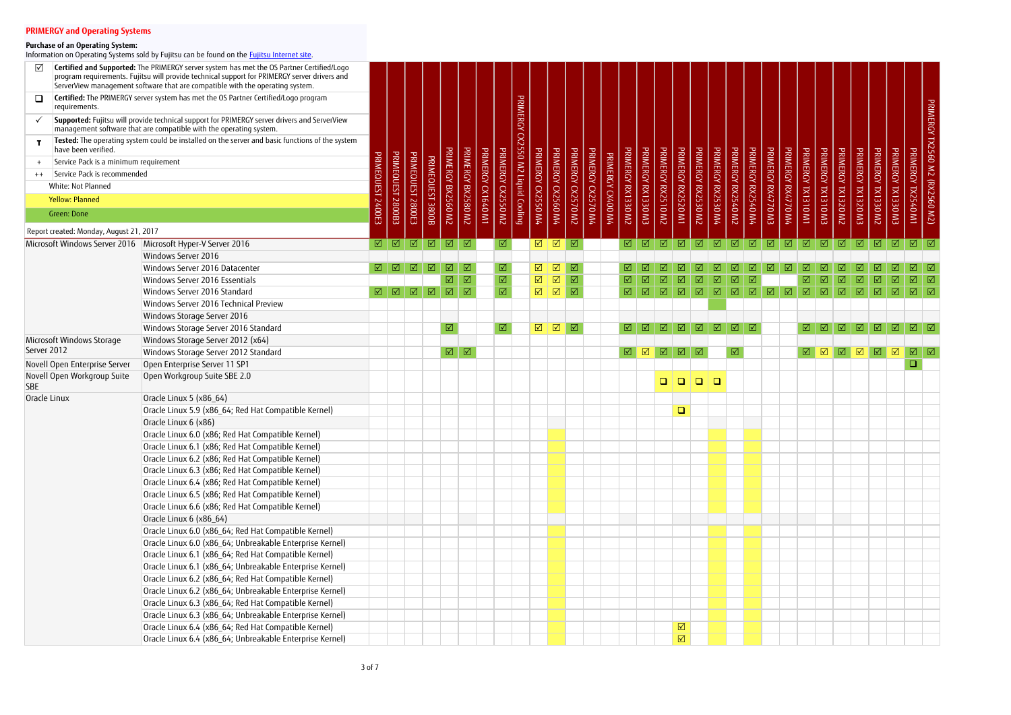|              |                                         | Certified and Supported: The PRIMERGY server system has met the OS Partner Certified/Logo<br>program requirements. Fujitsu will provide technical support for PRIMERGY server drivers and<br>ServerView management software that are compatible with the operating system. |        |                   |                     |              |                         |                             |                    |                              |                                   |                      |                              |                     |                    |                   |                         |                      |                      |                         |                             |                    |                     |                      |                     |                    |                     |                      |                     |                      |                     |                         |                              |                                |
|--------------|-----------------------------------------|----------------------------------------------------------------------------------------------------------------------------------------------------------------------------------------------------------------------------------------------------------------------------|--------|-------------------|---------------------|--------------|-------------------------|-----------------------------|--------------------|------------------------------|-----------------------------------|----------------------|------------------------------|---------------------|--------------------|-------------------|-------------------------|----------------------|----------------------|-------------------------|-----------------------------|--------------------|---------------------|----------------------|---------------------|--------------------|---------------------|----------------------|---------------------|----------------------|---------------------|-------------------------|------------------------------|--------------------------------|
| ◻            | requirements.                           | Certified: The PRIMERGY server system has met the OS Partner Certified/Logo program                                                                                                                                                                                        |        |                   |                     |              |                         |                             |                    |                              |                                   |                      |                              |                     |                    |                   |                         |                      |                      |                         |                             |                    |                     |                      |                     |                    |                     |                      |                     |                      |                     |                         |                              |                                |
|              |                                         | Supported: Fujitsu will provide technical support for PRIMERGY server drivers and ServerView<br>management software that are compatible with the operating system.                                                                                                         |        |                   |                     |              |                         |                             |                    |                              | PRIMERGY CX2550 M2 Liquid Cooling |                      |                              |                     |                    |                   |                         |                      |                      |                         |                             |                    |                     |                      |                     |                    |                     |                      |                     |                      |                     |                         |                              | PRIMERGY TX2560 M2 (RX2560 M2) |
|              | have been verified.                     | Tested: The operating system could be installed on the server and basic functions of the system                                                                                                                                                                            |        |                   |                     |              |                         |                             |                    |                              |                                   |                      |                              |                     |                    |                   |                         |                      |                      |                         |                             |                    |                     |                      |                     |                    |                     |                      |                     |                      |                     |                         |                              |                                |
|              | Service Pack is a minimum requirement   |                                                                                                                                                                                                                                                                            |        |                   |                     |              |                         |                             |                    |                              |                                   |                      |                              |                     |                    |                   |                         |                      |                      |                         |                             |                    |                     |                      |                     |                    |                     |                      |                     |                      |                     |                         |                              |                                |
|              | Service Pack is recommended             |                                                                                                                                                                                                                                                                            |        |                   |                     |              |                         | <b>PRIMERGY</b>             |                    | PRIMERGY                     |                                   |                      |                              |                     |                    |                   |                         |                      | PRIMERGY             |                         | PRIMERGY                    |                    |                     |                      |                     |                    |                     |                      |                     |                      |                     | <b>PRIMERGY</b>         |                              |                                |
| $++$         | White: Not Planned                      |                                                                                                                                                                                                                                                                            |        | <b>PRIMEQUEST</b> |                     |              |                         |                             |                    |                              |                                   |                      |                              |                     |                    |                   |                         |                      |                      |                         |                             |                    |                     |                      |                     |                    |                     |                      |                     |                      | <b>PRIMERGY</b>     |                         |                              |                                |
|              |                                         |                                                                                                                                                                                                                                                                            |        |                   |                     | PRIMEQUEST   |                         |                             |                    |                              |                                   |                      |                              |                     |                    |                   |                         |                      |                      |                         |                             |                    |                     |                      |                     |                    |                     |                      |                     |                      |                     |                         |                              |                                |
|              | <b>Yellow: Planned</b>                  |                                                                                                                                                                                                                                                                            |        |                   |                     |              |                         |                             |                    |                              |                                   |                      |                              |                     |                    |                   |                         |                      |                      |                         |                             |                    |                     |                      |                     |                    |                     |                      |                     |                      |                     |                         |                              |                                |
|              | Green: Done                             |                                                                                                                                                                                                                                                                            | 2400E3 | E80082            | PRIMEQUEST 2800E3   | <b>3800B</b> | PRIMERGY BX2560 M2      | BX2580 M2                   | PRIMERGY CX1640 M1 | CV2550 M2                    |                                   | PRIMERGY CX2550 M4   | PRIMERGY CX2560 M4           | PRIMERGY CX2570 M2  | PRIMERGY CX2570 M4 | PRIMERGY CX400 M4 | PRIMERGY RX1330 M2      | PRIMERGY RX1330 M3   | <b>RX2510 M2</b>     | PRIMERGY RX2520 M1      | RX2530 M2                   | PRIMERGY RX2530 M4 | PRIMERGY RX2540 M2  | PRIMERGY RX2540 M4   | PRIMERGY RX4770 M3  | PRIMERGY RX4770 M4 | PRIMERGY TX1310 M1  | PRIMERGY TX1310 M3   | PRIMERGY TX1320 M2  | PRIMERGY TX1320 M3   | <b>TX1330 M2</b>    | EW 025 M3               | PRIMERGY TX2540 M1           |                                |
|              | Report created: Monday, August 21, 2017 |                                                                                                                                                                                                                                                                            |        |                   |                     |              |                         |                             |                    |                              |                                   |                      |                              |                     |                    |                   |                         |                      |                      |                         |                             |                    |                     |                      |                     |                    |                     |                      |                     |                      |                     |                         |                              |                                |
|              | Microsoft Windows Server 2016           | Microsoft Hyper-V Server 2016                                                                                                                                                                                                                                              |        | ☑│☑               | $\boxed{\triangle}$ | $\boxed{0}$  |                         | $\boxed{1}$                 |                    | ☑                            |                                   | ☑                    | $\sqrt{2}$                   | $\sqrt{2}$          |                    |                   | $\boxtimes$             | ☑                    | $\boxtimes$          | $\sqrt{2}$              | $\boxed{1}$                 |                    | $\boxed{1}$         |                      | $\boxed{\triangle}$ | $\boxed{0}$        | $\boxed{\triangle}$ | $\boxed{\mathbb{Z}}$ |                     | $\boxed{\triangle}$  | $\boxed{\triangle}$ | $\boxed{0}$             | $\boxed{\Delta}$             |                                |
|              |                                         | Windows Server 2016                                                                                                                                                                                                                                                        |        |                   |                     |              |                         |                             |                    |                              |                                   |                      |                              |                     |                    |                   |                         |                      |                      |                         |                             |                    |                     |                      |                     |                    |                     |                      |                     |                      |                     |                         |                              |                                |
|              |                                         | Windows Server 2016 Datacenter                                                                                                                                                                                                                                             |        | ☑                 | ⊻                   | ☑            | ☑                       | ☑                           |                    | $\boxed{\triangle}$          |                                   | $\boxed{\mathbf{N}}$ | $\Delta$                     | ☑                   |                    |                   |                         |                      |                      |                         |                             |                    |                     |                      |                     |                    |                     |                      |                     |                      |                     |                         |                              | ☑                              |
|              |                                         | Windows Server 2016 Essentials                                                                                                                                                                                                                                             |        |                   |                     |              | $\boxed{\mathbf{N}}$    | $\boxed{\textstyle\diagup}$ |                    | $\boxed{\text{V}}$           |                                   | $\boxed{\mathbf{v}}$ | $\boxed{\blacktriangledown}$ | $\boxed{\sqrt}$     |                    |                   | $\boxed{\text{V}}$      |                      | ☑                    | $\boxtimes$             | ☑                           | ☑                  | ☑                   |                      |                     |                    |                     |                      |                     |                      |                     | ☑                       | $\boxed{\blacktriangledown}$ | $\boxed{\checkmark}$           |
|              |                                         | Windows Server 2016 Standard                                                                                                                                                                                                                                               | ☑      | $\Box$            | $\boxed{\triangle}$ | $\boxtimes$  | $\boxed{\mathbf{v}}$    | $\boxed{\triangle}$         |                    | $\boxed{\text{V}}$           |                                   | $\boxed{\checkmark}$ | $\Box$                       | $\boxed{2}$         |                    |                   | $\boxtimes$             | ☑                    | $\boxed{\mathbf{Z}}$ | $\boxtimes$             | $\boxed{\textstyle\diagup}$ | $\boxed{\text{V}}$ | $\boxed{\triangle}$ | $\boxed{\mathbf{N}}$ | ☑                   | $\Box$             | $\boxtimes$         | $\boxtimes$          | $\boxtimes$         | ☑                    | $\boxtimes$         | ☑                       | $\boxed{\triangle}$          | ାସ                             |
|              |                                         | Windows Server 2016 Technical Preview                                                                                                                                                                                                                                      |        |                   |                     |              |                         |                             |                    |                              |                                   |                      |                              |                     |                    |                   |                         |                      |                      |                         |                             |                    |                     |                      |                     |                    |                     |                      |                     |                      |                     |                         |                              |                                |
|              |                                         | Windows Storage Server 2016                                                                                                                                                                                                                                                |        |                   |                     |              |                         |                             |                    |                              |                                   |                      |                              |                     |                    |                   |                         |                      |                      |                         |                             |                    |                     |                      |                     |                    |                     |                      |                     |                      |                     |                         |                              |                                |
|              |                                         | Windows Storage Server 2016 Standard                                                                                                                                                                                                                                       |        |                   |                     |              | $\boxed{\mathbf{N}}$    |                             |                    | $\boxed{\blacktriangledown}$ |                                   | $\boxed{\mathbf{v}}$ | $\boxed{\mathbf{N}}$         | $\boxed{\triangle}$ |                    |                   | $\overline{\mathsf{M}}$ | ☑                    | ☑                    | $\boxtimes$             | $\boxed{\text{V}}$          | $\boxed{\text{V}}$ | $\boxed{\triangle}$ | $\triangledown$      |                     |                    |                     | $\sqrt{ }$           | ☑                   | ☑                    | ☑                   | ☑                       | $\boxed{\triangle}$          | ା√                             |
|              | Microsoft Windows Storage               | Windows Storage Server 2012 (x64)                                                                                                                                                                                                                                          |        |                   |                     |              |                         |                             |                    |                              |                                   |                      |                              |                     |                    |                   |                         |                      |                      |                         |                             |                    |                     |                      |                     |                    |                     |                      |                     |                      |                     |                         |                              |                                |
| Server 2012  |                                         | Windows Storage Server 2012 Standard                                                                                                                                                                                                                                       |        |                   |                     |              | $\overline{\mathbf{M}}$ | $\sqrt{2}$                  |                    |                              |                                   |                      |                              |                     |                    |                   | $\boxed{\triangle}$     | $\boxed{\mathsf{N}}$ | $\boxed{\mathbb{Z}}$ | $\boxed{1}$             |                             |                    | $\boxed{\sqrt{2}}$  |                      |                     |                    | $\boxed{\triangle}$ | $\boxed{\mathsf{N}}$ | $\boxed{\triangle}$ | $\boxed{\mathbf{v}}$ |                     | $\overline{\mathsf{N}}$ | $\boxed{\triangle}$          | ⊠                              |
|              |                                         | Open Enterprise Server 11 SP1                                                                                                                                                                                                                                              |        |                   |                     |              |                         |                             |                    |                              |                                   |                      |                              |                     |                    |                   |                         |                      |                      |                         |                             |                    |                     |                      |                     |                    |                     |                      |                     |                      | ☑                   |                         | $\Box$                       |                                |
|              | Novell Open Enterprise Server           |                                                                                                                                                                                                                                                                            |        |                   |                     |              |                         |                             |                    |                              |                                   |                      |                              |                     |                    |                   |                         |                      |                      |                         |                             |                    |                     |                      |                     |                    |                     |                      |                     |                      |                     |                         |                              |                                |
| <b>SBE</b>   | Novell Open Workgroup Suite             | Open Workgroup Suite SBE 2.0                                                                                                                                                                                                                                               |        |                   |                     |              |                         |                             |                    |                              |                                   |                      |                              |                     |                    |                   |                         |                      | □                    | $\Box$                  | $\Box$                      | $\Box$             |                     |                      |                     |                    |                     |                      |                     |                      |                     |                         |                              |                                |
| Oracle Linux |                                         | Oracle Linux 5 (x86 64)                                                                                                                                                                                                                                                    |        |                   |                     |              |                         |                             |                    |                              |                                   |                      |                              |                     |                    |                   |                         |                      |                      |                         |                             |                    |                     |                      |                     |                    |                     |                      |                     |                      |                     |                         |                              |                                |
|              |                                         | Oracle Linux 5.9 (x86_64; Red Hat Compatible Kernel)                                                                                                                                                                                                                       |        |                   |                     |              |                         |                             |                    |                              |                                   |                      |                              |                     |                    |                   |                         |                      |                      | $\Box$                  |                             |                    |                     |                      |                     |                    |                     |                      |                     |                      |                     |                         |                              |                                |
|              |                                         | Oracle Linux 6 (x86)                                                                                                                                                                                                                                                       |        |                   |                     |              |                         |                             |                    |                              |                                   |                      |                              |                     |                    |                   |                         |                      |                      |                         |                             |                    |                     |                      |                     |                    |                     |                      |                     |                      |                     |                         |                              |                                |
|              |                                         | Oracle Linux 6.0 (x86; Red Hat Compatible Kernel)                                                                                                                                                                                                                          |        |                   |                     |              |                         |                             |                    |                              |                                   |                      |                              |                     |                    |                   |                         |                      |                      |                         |                             |                    |                     |                      |                     |                    |                     |                      |                     |                      |                     |                         |                              |                                |
|              |                                         | Oracle Linux 6.1 (x86; Red Hat Compatible Kernel)                                                                                                                                                                                                                          |        |                   |                     |              |                         |                             |                    |                              |                                   |                      |                              |                     |                    |                   |                         |                      |                      |                         |                             |                    |                     |                      |                     |                    |                     |                      |                     |                      |                     |                         |                              |                                |
|              |                                         | Oracle Linux 6.2 (x86; Red Hat Compatible Kernel)                                                                                                                                                                                                                          |        |                   |                     |              |                         |                             |                    |                              |                                   |                      |                              |                     |                    |                   |                         |                      |                      |                         |                             |                    |                     |                      |                     |                    |                     |                      |                     |                      |                     |                         |                              |                                |
|              |                                         | Oracle Linux 6.3 (x86; Red Hat Compatible Kernel)                                                                                                                                                                                                                          |        |                   |                     |              |                         |                             |                    |                              |                                   |                      |                              |                     |                    |                   |                         |                      |                      |                         |                             |                    |                     |                      |                     |                    |                     |                      |                     |                      |                     |                         |                              |                                |
|              |                                         | Oracle Linux 6.4 (x86; Red Hat Compatible Kernel)                                                                                                                                                                                                                          |        |                   |                     |              |                         |                             |                    |                              |                                   |                      |                              |                     |                    |                   |                         |                      |                      |                         |                             |                    |                     |                      |                     |                    |                     |                      |                     |                      |                     |                         |                              |                                |
|              |                                         | Oracle Linux 6.5 (x86; Red Hat Compatible Kernel)                                                                                                                                                                                                                          |        |                   |                     |              |                         |                             |                    |                              |                                   |                      |                              |                     |                    |                   |                         |                      |                      |                         |                             |                    |                     |                      |                     |                    |                     |                      |                     |                      |                     |                         |                              |                                |
|              |                                         | Oracle Linux 6.6 (x86; Red Hat Compatible Kernel)                                                                                                                                                                                                                          |        |                   |                     |              |                         |                             |                    |                              |                                   |                      |                              |                     |                    |                   |                         |                      |                      |                         |                             |                    |                     |                      |                     |                    |                     |                      |                     |                      |                     |                         |                              |                                |
|              |                                         | Oracle Linux 6 (x86 64)                                                                                                                                                                                                                                                    |        |                   |                     |              |                         |                             |                    |                              |                                   |                      |                              |                     |                    |                   |                         |                      |                      |                         |                             |                    |                     |                      |                     |                    |                     |                      |                     |                      |                     |                         |                              |                                |
|              |                                         | Oracle Linux 6.0 (x86 64; Red Hat Compatible Kernel)                                                                                                                                                                                                                       |        |                   |                     |              |                         |                             |                    |                              |                                   |                      |                              |                     |                    |                   |                         |                      |                      |                         |                             |                    |                     |                      |                     |                    |                     |                      |                     |                      |                     |                         |                              |                                |
|              |                                         | Oracle Linux 6.0 (x86_64; Unbreakable Enterprise Kernel)                                                                                                                                                                                                                   |        |                   |                     |              |                         |                             |                    |                              |                                   |                      |                              |                     |                    |                   |                         |                      |                      |                         |                             |                    |                     |                      |                     |                    |                     |                      |                     |                      |                     |                         |                              |                                |
|              |                                         | Oracle Linux 6.1 (x86_64; Red Hat Compatible Kernel)                                                                                                                                                                                                                       |        |                   |                     |              |                         |                             |                    |                              |                                   |                      |                              |                     |                    |                   |                         |                      |                      |                         |                             |                    |                     |                      |                     |                    |                     |                      |                     |                      |                     |                         |                              |                                |
|              |                                         | Oracle Linux 6.1 (x86_64; Unbreakable Enterprise Kernel)                                                                                                                                                                                                                   |        |                   |                     |              |                         |                             |                    |                              |                                   |                      |                              |                     |                    |                   |                         |                      |                      |                         |                             |                    |                     |                      |                     |                    |                     |                      |                     |                      |                     |                         |                              |                                |
|              |                                         | Oracle Linux 6.2 (x86_64; Red Hat Compatible Kernel)                                                                                                                                                                                                                       |        |                   |                     |              |                         |                             |                    |                              |                                   |                      |                              |                     |                    |                   |                         |                      |                      |                         |                             |                    |                     |                      |                     |                    |                     |                      |                     |                      |                     |                         |                              |                                |
|              |                                         | Oracle Linux 6.2 (x86_64; Unbreakable Enterprise Kernel)                                                                                                                                                                                                                   |        |                   |                     |              |                         |                             |                    |                              |                                   |                      |                              |                     |                    |                   |                         |                      |                      |                         |                             |                    |                     |                      |                     |                    |                     |                      |                     |                      |                     |                         |                              |                                |
|              |                                         | Oracle Linux 6.3 (x86_64; Red Hat Compatible Kernel)                                                                                                                                                                                                                       |        |                   |                     |              |                         |                             |                    |                              |                                   |                      |                              |                     |                    |                   |                         |                      |                      |                         |                             |                    |                     |                      |                     |                    |                     |                      |                     |                      |                     |                         |                              |                                |
|              |                                         | Oracle Linux 6.3 (x86_64; Unbreakable Enterprise Kernel)                                                                                                                                                                                                                   |        |                   |                     |              |                         |                             |                    |                              |                                   |                      |                              |                     |                    |                   |                         |                      |                      |                         |                             |                    |                     |                      |                     |                    |                     |                      |                     |                      |                     |                         |                              |                                |
|              |                                         | Oracle Linux 6.4 (x86_64; Red Hat Compatible Kernel)                                                                                                                                                                                                                       |        |                   |                     |              |                         |                             |                    |                              |                                   |                      |                              |                     |                    |                   |                         |                      |                      | $\overline{\mathbf{M}}$ |                             |                    |                     |                      |                     |                    |                     |                      |                     |                      |                     |                         |                              |                                |
|              |                                         | Oracle Linux 6.4 (x86_64; Unbreakable Enterprise Kernel)                                                                                                                                                                                                                   |        |                   |                     |              |                         |                             |                    |                              |                                   |                      |                              |                     |                    |                   |                         |                      |                      | $\boxed{\checkmark}$    |                             |                    |                     |                      |                     |                    |                     |                      |                     |                      |                     |                         |                              |                                |
|              |                                         |                                                                                                                                                                                                                                                                            |        |                   |                     |              |                         |                             |                    |                              |                                   |                      |                              |                     |                    |                   |                         |                      |                      |                         |                             |                    |                     |                      |                     |                    |                     |                      |                     |                      |                     |                         |                              |                                |

### **Purchase of an Operating System:**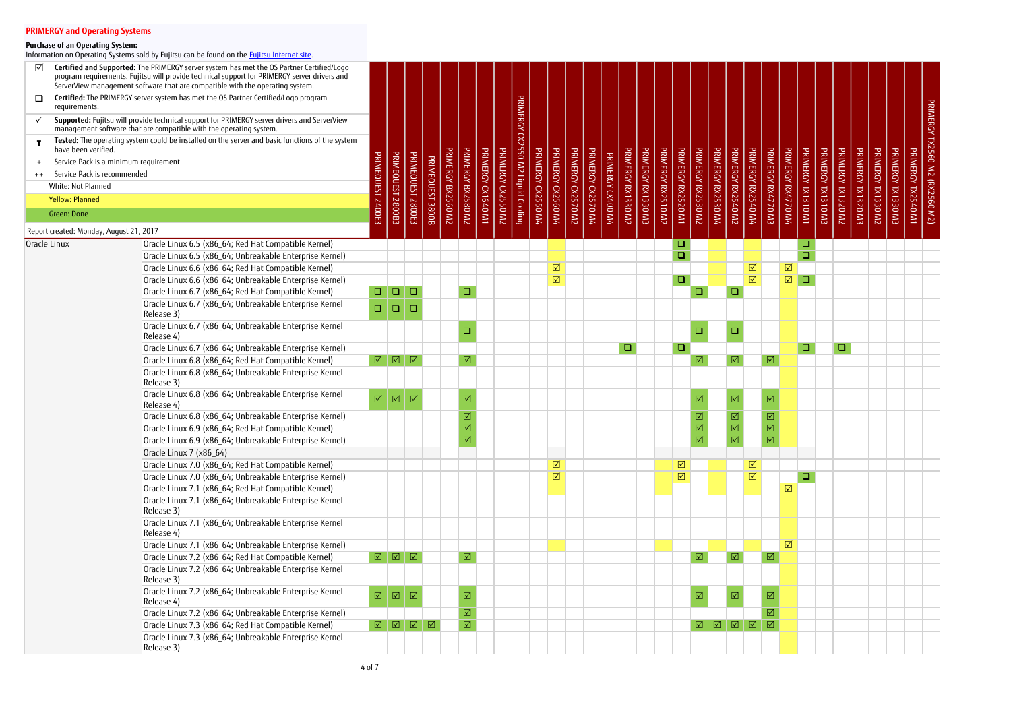| ☑    |                                         | Certified and Supported: The PRIMERGY server system has met the OS Partner Certified/Logo<br>program requirements. Fujitsu will provide technical support for PRIMERGY server drivers and<br>ServerView management software that are compatible with the operating system. |                      |                                                                      |                    |                  |                    |                         |                    |                |                                   |          |                              |                    |                    |                 |                    |                    |                    |                      |                              |                    |                              |                         |                         |                              |                    |                    |                 |                    |                    |                    |                    |                                |
|------|-----------------------------------------|----------------------------------------------------------------------------------------------------------------------------------------------------------------------------------------------------------------------------------------------------------------------------|----------------------|----------------------------------------------------------------------|--------------------|------------------|--------------------|-------------------------|--------------------|----------------|-----------------------------------|----------|------------------------------|--------------------|--------------------|-----------------|--------------------|--------------------|--------------------|----------------------|------------------------------|--------------------|------------------------------|-------------------------|-------------------------|------------------------------|--------------------|--------------------|-----------------|--------------------|--------------------|--------------------|--------------------|--------------------------------|
| ❏    | requirements.                           | Certified: The PRIMERGY server system has met the OS Partner Certified/Logo program                                                                                                                                                                                        |                      |                                                                      |                    |                  |                    |                         |                    |                |                                   |          |                              |                    |                    |                 |                    |                    |                    |                      |                              |                    |                              |                         |                         |                              |                    |                    |                 |                    |                    |                    |                    |                                |
|      |                                         | Supported: Fujitsu will provide technical support for PRIMERGY server drivers and ServerView<br>management software that are compatible with the operating system.                                                                                                         |                      |                                                                      |                    |                  |                    |                         |                    |                |                                   |          |                              |                    |                    |                 |                    |                    |                    |                      |                              |                    |                              |                         |                         |                              |                    |                    |                 |                    |                    |                    |                    |                                |
|      | have been verified.                     | Tested: The operating system could be installed on the server and basic functions of the system                                                                                                                                                                            |                      |                                                                      |                    |                  |                    |                         |                    |                | PRIMERGY CX2550 M2 Liquid Cooling |          |                              |                    |                    |                 |                    |                    |                    |                      |                              |                    |                              |                         |                         |                              |                    |                    |                 |                    |                    |                    |                    | PRIMERGY TX2560 M2 (RX2560 M2) |
|      | Service Pack is a minimum requirement   |                                                                                                                                                                                                                                                                            |                      |                                                                      |                    |                  |                    |                         |                    |                |                                   |          |                              |                    |                    |                 |                    |                    |                    |                      |                              |                    |                              |                         |                         |                              |                    |                    |                 |                    |                    |                    |                    |                                |
| $++$ | Service Pack is recommended             |                                                                                                                                                                                                                                                                            |                      |                                                                      |                    |                  |                    | <b>PRIMERGY</b>         |                    | PRIMERGY       |                                   | PRIMERGY |                              |                    |                    | PRIMERCY        |                    |                    |                    |                      |                              |                    | PRIMERGY                     |                         |                         |                              |                    |                    | <b>PRIMERCY</b> |                    |                    |                    |                    |                                |
|      | White: Not Planned                      |                                                                                                                                                                                                                                                                            |                      | <b>PRIMEQUEST</b>                                                    | <b>PRIMEQUEST</b>  |                  |                    |                         |                    |                |                                   |          |                              |                    |                    |                 |                    |                    |                    |                      |                              |                    |                              |                         |                         |                              |                    |                    |                 |                    |                    |                    |                    |                                |
|      | <b>Yellow: Planned</b>                  |                                                                                                                                                                                                                                                                            |                      |                                                                      |                    |                  |                    |                         |                    | <b>CK2550</b>  |                                   | OSS20    |                              |                    |                    |                 |                    |                    |                    |                      |                              |                    | 075240                       |                         |                         |                              |                    |                    | TX1320          |                    |                    |                    |                    |                                |
|      | Green: Done                             |                                                                                                                                                                                                                                                                            | 00E3                 | 280082                                                               | Z800E3             | PRIMEQUEST 3800B | PRIMERGY BX2560 M2 | BX2580 M2               | PRIMERGY CX1640 M1 | $\overline{N}$ |                                   | $W_4$    | PRIMERGY CX2560 M4           | PRIMERGY CX2570 M2 | PRIMERGY CX2570 M4 | <b>CK400 M4</b> | PRIMERGY RX1330 M2 | PRIMERGY RX1330 M3 | PRIMERGY RX2510 M2 | PRIMERGY RX2520 M1   | PRIMERGY RX2530 M2           | PRIMERGY RX2530 M4 | $\overline{M}$               | PRIMERGY RX2540 M4      | PRIMERGY RX4770 M3      | PRIMERGY RX4770 M4           | PRIMERGY TX1310 M1 | PRIMERGY TX1310 M3 | ZW              | PRIMERGY TX1320 M3 | PRIMERGY TX1330 M2 | PRIMERGY TX1330 M3 | PRIMERGY TX2540 M1 |                                |
|      | Report created: Monday, August 21, 2017 |                                                                                                                                                                                                                                                                            |                      |                                                                      |                    |                  |                    |                         |                    |                |                                   |          |                              |                    |                    |                 |                    |                    |                    |                      |                              |                    |                              |                         |                         |                              |                    |                    |                 |                    |                    |                    |                    |                                |
|      | Oracle Linux                            | Oracle Linux 6.5 (x86_64; Red Hat Compatible Kernel)                                                                                                                                                                                                                       |                      |                                                                      |                    |                  |                    |                         |                    |                |                                   |          |                              |                    |                    |                 |                    |                    |                    | Q,                   |                              |                    |                              |                         |                         |                              | $\Box$             |                    |                 |                    |                    |                    |                    |                                |
|      |                                         | Oracle Linux 6.5 (x86_64; Unbreakable Enterprise Kernel)                                                                                                                                                                                                                   |                      |                                                                      |                    |                  |                    |                         |                    |                |                                   |          |                              |                    |                    |                 |                    |                    |                    | $\Box$               |                              |                    |                              |                         |                         |                              | $\Box$             |                    |                 |                    |                    |                    |                    |                                |
|      |                                         | Oracle Linux 6.6 (x86_64; Red Hat Compatible Kernel)                                                                                                                                                                                                                       |                      |                                                                      |                    |                  |                    |                         |                    |                |                                   |          | $\boxed{\text{V}}$           |                    |                    |                 |                    |                    |                    |                      |                              |                    |                              | $\boxed{\mathsf{N}}$    |                         | $\boxed{\mathbf{N}}$         |                    |                    |                 |                    |                    |                    |                    |                                |
|      |                                         | Oracle Linux 6.6 (x86_64; Unbreakable Enterprise Kernel)                                                                                                                                                                                                                   |                      |                                                                      |                    |                  |                    |                         |                    |                |                                   |          | $\boxed{\text{V}}$           |                    |                    |                 |                    |                    |                    | $\Box$               |                              |                    |                              | $\overline{\mathsf{M}}$ |                         | $\boxed{\mathbf{N}}$         | $\Box$             |                    |                 |                    |                    |                    |                    |                                |
|      |                                         | Oracle Linux 6.7 (x86_64; Red Hat Compatible Kernel)                                                                                                                                                                                                                       | $\Box$               | $\begin{array}{c} \square \end{array}$                               | $\Box$             |                  |                    | $\Box$                  |                    |                |                                   |          |                              |                    |                    |                 |                    |                    |                    |                      | $\Box$                       |                    | $\Box$                       |                         |                         |                              |                    |                    |                 |                    |                    |                    |                    |                                |
|      |                                         | Oracle Linux 6.7 (x86 64; Unbreakable Enterprise Kernel                                                                                                                                                                                                                    |                      |                                                                      |                    |                  |                    |                         |                    |                |                                   |          |                              |                    |                    |                 |                    |                    |                    |                      |                              |                    |                              |                         |                         |                              |                    |                    |                 |                    |                    |                    |                    |                                |
|      |                                         | Release 3)                                                                                                                                                                                                                                                                 | $\Box$               | $\Box$                                                               | □                  |                  |                    |                         |                    |                |                                   |          |                              |                    |                    |                 |                    |                    |                    |                      |                              |                    |                              |                         |                         |                              |                    |                    |                 |                    |                    |                    |                    |                                |
|      |                                         | Oracle Linux 6.7 (x86_64; Unbreakable Enterprise Kernel<br>Release 4)                                                                                                                                                                                                      |                      |                                                                      |                    |                  |                    | $\Box$                  |                    |                |                                   |          |                              |                    |                    |                 |                    |                    |                    |                      | ❏                            |                    | $\Box$                       |                         |                         |                              |                    |                    |                 |                    |                    |                    |                    |                                |
|      |                                         | Oracle Linux 6.7 (x86_64; Unbreakable Enterprise Kernel)                                                                                                                                                                                                                   |                      |                                                                      |                    |                  |                    |                         |                    |                |                                   |          |                              |                    |                    |                 | $\Box$             |                    |                    | $\Box$               |                              |                    |                              |                         |                         |                              | $\Box$             |                    | $\Box$          |                    |                    |                    |                    |                                |
|      |                                         | Oracle Linux 6.8 (x86_64; Red Hat Compatible Kernel)                                                                                                                                                                                                                       |                      | $\boxed{ \mathbb{Q} } \ \boxed{ \mathbb{Q} } \ \boxed{ \mathbb{Q} }$ |                    |                  |                    | $\overline{\mathbb{M}}$ |                    |                |                                   |          |                              |                    |                    |                 |                    |                    |                    |                      | $\boxed{\blacktriangledown}$ |                    | $\overline{\mathbf{N}}$      |                         | $\boxed{\mathbf{N}}$    |                              |                    |                    |                 |                    |                    |                    |                    |                                |
|      |                                         | Oracle Linux 6.8 (x86_64; Unbreakable Enterprise Kernel<br>Release 3)                                                                                                                                                                                                      |                      |                                                                      |                    |                  |                    |                         |                    |                |                                   |          |                              |                    |                    |                 |                    |                    |                    |                      |                              |                    |                              |                         |                         |                              |                    |                    |                 |                    |                    |                    |                    |                                |
|      |                                         | Oracle Linux 6.8 (x86_64; Unbreakable Enterprise Kernel<br>Release 4)                                                                                                                                                                                                      | $\boxed{\text{V}}$   | $\boxed{\triangle}$                                                  | $\boxed{\text{V}}$ |                  |                    | $\boxed{\mathbf{N}}$    |                    |                |                                   |          |                              |                    |                    |                 |                    |                    |                    |                      | $\boxtimes$                  |                    | $\overline{\mathbb{M}}$      |                         | $\boxed{\mathbf{Z}}$    |                              |                    |                    |                 |                    |                    |                    |                    |                                |
|      |                                         | Oracle Linux 6.8 (x86_64; Unbreakable Enterprise Kernel)                                                                                                                                                                                                                   |                      |                                                                      |                    |                  |                    | $\overline{\mathbb{M}}$ |                    |                |                                   |          |                              |                    |                    |                 |                    |                    |                    |                      | $\boxed{\mathbf{N}}$         |                    | $\boxed{\blacktriangledown}$ |                         | ☑                       |                              |                    |                    |                 |                    |                    |                    |                    |                                |
|      |                                         | Oracle Linux 6.9 (x86_64; Red Hat Compatible Kernel)                                                                                                                                                                                                                       |                      |                                                                      |                    |                  |                    | $\overline{\mathbb{M}}$ |                    |                |                                   |          |                              |                    |                    |                 |                    |                    |                    |                      | $\overline{\mathbb{M}}$      |                    | $\overline{\boxtimes}$       |                         | $\boxed{\text{V}}$      |                              |                    |                    |                 |                    |                    |                    |                    |                                |
|      |                                         | Oracle Linux 6.9 (x86_64; Unbreakable Enterprise Kernel)                                                                                                                                                                                                                   |                      |                                                                      |                    |                  |                    | $\overline{\mathbb{Z}}$ |                    |                |                                   |          |                              |                    |                    |                 |                    |                    |                    |                      | $\overline{\mathbb{M}}$      |                    | $\overline{\mathbb{Z}}$      |                         | $\overline{\mathbb{M}}$ |                              |                    |                    |                 |                    |                    |                    |                    |                                |
|      |                                         | Oracle Linux 7 (x86 64)                                                                                                                                                                                                                                                    |                      |                                                                      |                    |                  |                    |                         |                    |                |                                   |          |                              |                    |                    |                 |                    |                    |                    |                      |                              |                    |                              |                         |                         |                              |                    |                    |                 |                    |                    |                    |                    |                                |
|      |                                         | Oracle Linux 7.0 (x86 64; Red Hat Compatible Kernel)                                                                                                                                                                                                                       |                      |                                                                      |                    |                  |                    |                         |                    |                |                                   |          | $\boxed{\blacktriangledown}$ |                    |                    |                 |                    |                    |                    | $\boxed{\mathsf{N}}$ |                              |                    |                              | $\boxtimes$             |                         |                              |                    |                    |                 |                    |                    |                    |                    |                                |
|      |                                         | Oracle Linux 7.0 (x86_64; Unbreakable Enterprise Kernel)                                                                                                                                                                                                                   |                      |                                                                      |                    |                  |                    |                         |                    |                |                                   |          | $\boxed{\mathbf{N}}$         |                    |                    |                 |                    |                    |                    | $\boxed{\mathbf{N}}$ |                              |                    |                              | $\boxed{\mathbf{N}}$    |                         |                              | $\Box$             |                    |                 |                    |                    |                    |                    |                                |
|      |                                         | Oracle Linux 7.1 (x86_64; Red Hat Compatible Kernel)                                                                                                                                                                                                                       |                      |                                                                      |                    |                  |                    |                         |                    |                |                                   |          |                              |                    |                    |                 |                    |                    |                    |                      |                              |                    |                              |                         |                         | $\boxed{\blacktriangledown}$ |                    |                    |                 |                    |                    |                    |                    |                                |
|      |                                         | Oracle Linux 7.1 (x86_64; Unbreakable Enterprise Kernel<br>Release 3)                                                                                                                                                                                                      |                      |                                                                      |                    |                  |                    |                         |                    |                |                                   |          |                              |                    |                    |                 |                    |                    |                    |                      |                              |                    |                              |                         |                         |                              |                    |                    |                 |                    |                    |                    |                    |                                |
|      |                                         | Oracle Linux 7.1 (x86_64; Unbreakable Enterprise Kernel<br>Release 4)                                                                                                                                                                                                      |                      |                                                                      |                    |                  |                    |                         |                    |                |                                   |          |                              |                    |                    |                 |                    |                    |                    |                      |                              |                    |                              |                         |                         |                              |                    |                    |                 |                    |                    |                    |                    |                                |
|      |                                         | Oracle Linux 7.1 (x86_64; Unbreakable Enterprise Kernel)                                                                                                                                                                                                                   |                      |                                                                      |                    |                  |                    |                         |                    |                |                                   |          |                              |                    |                    |                 |                    |                    |                    |                      |                              |                    |                              |                         |                         | $\boxed{\mathbf{N}}$         |                    |                    |                 |                    |                    |                    |                    |                                |
|      |                                         | Oracle Linux 7.2 (x86_64; Red Hat Compatible Kernel)                                                                                                                                                                                                                       |                      |                                                                      |                    |                  |                    | $\overline{\mathbb{Z}}$ |                    |                |                                   |          |                              |                    |                    |                 |                    |                    |                    |                      | $\overline{\mathbb{M}}$      |                    | $\boxed{\triangle}$          |                         | ☑                       |                              |                    |                    |                 |                    |                    |                    |                    |                                |
|      |                                         | Oracle Linux 7.2 (x86 64; Unbreakable Enterprise Kernel<br>Release 3)                                                                                                                                                                                                      |                      |                                                                      |                    |                  |                    |                         |                    |                |                                   |          |                              |                    |                    |                 |                    |                    |                    |                      |                              |                    |                              |                         |                         |                              |                    |                    |                 |                    |                    |                    |                    |                                |
|      |                                         | Oracle Linux 7.2 (x86_64; Unbreakable Enterprise Kernel<br>Release 4)                                                                                                                                                                                                      | $\boxed{\mathbf{N}}$ | $\boxed{\mathbb{Z}}$                                                 |                    |                  |                    | $\overline{\mathbb{M}}$ |                    |                |                                   |          |                              |                    |                    |                 |                    |                    |                    |                      | $\boxed{\mathcal{N}}$        |                    | $\boxed{\mathbf{N}}$         |                         | ☑                       |                              |                    |                    |                 |                    |                    |                    |                    |                                |
|      |                                         | Oracle Linux 7.2 (x86_64; Unbreakable Enterprise Kernel)                                                                                                                                                                                                                   |                      |                                                                      |                    |                  |                    | ☑                       |                    |                |                                   |          |                              |                    |                    |                 |                    |                    |                    |                      |                              |                    |                              |                         | ☑                       |                              |                    |                    |                 |                    |                    |                    |                    |                                |
|      |                                         | Oracle Linux 7.3 (x86_64; Red Hat Compatible Kernel)                                                                                                                                                                                                                       |                      |                                                                      |                    |                  |                    | $\overline{\mathsf{M}}$ |                    |                |                                   |          |                              |                    |                    |                 |                    |                    |                    |                      |                              |                    |                              |                         |                         |                              |                    |                    |                 |                    |                    |                    |                    |                                |
|      |                                         | Oracle Linux 7.3 (x86_64; Unbreakable Enterprise Kernel<br>Release 3)                                                                                                                                                                                                      |                      |                                                                      |                    |                  |                    |                         |                    |                |                                   |          |                              |                    |                    |                 |                    |                    |                    |                      |                              |                    |                              |                         |                         |                              |                    |                    |                 |                    |                    |                    |                    |                                |

### **Purchase of an Operating System:**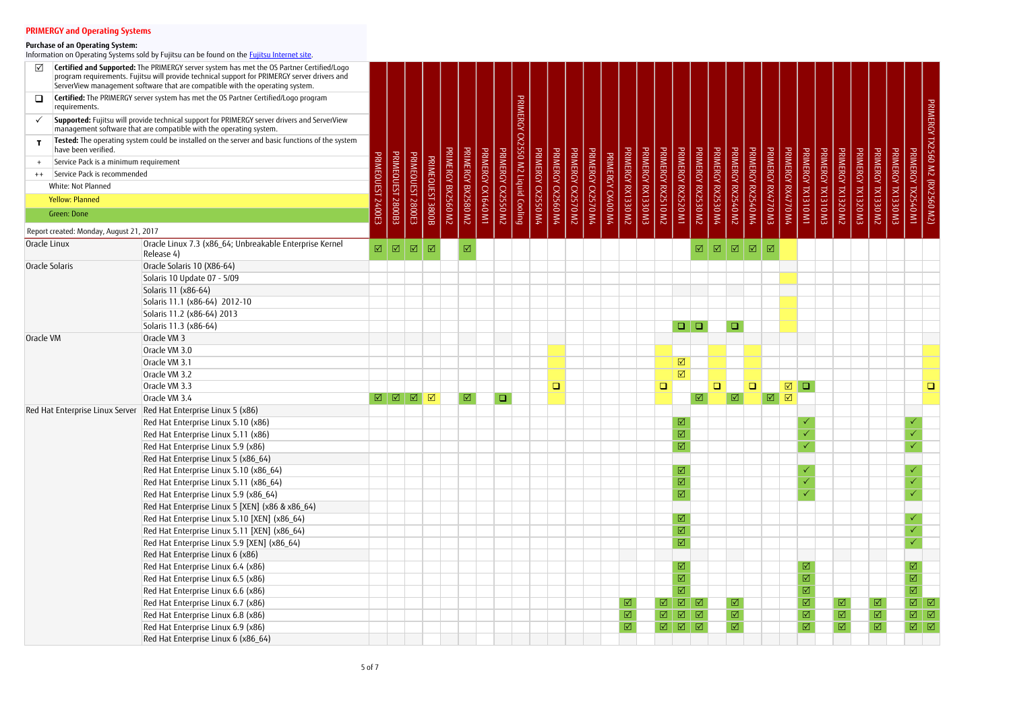| ☑              |                                         | Certified and Supported: The PRIMERGY server system has met the OS Partner Certified/Logo<br>program requirements. Fujitsu will provide technical support for PRIMERGY server drivers and<br>ServerView management software that are compatible with the operating system. |                         |                    |                      |                      |                    |                         |                    |           |                                   |                    |                    |                    |                    |                 |                    |                    |                      |                         |                         |                     |                              |                    |                       |                              |                              |                    |                         |                    |                              |                    |                                                                               |                                |
|----------------|-----------------------------------------|----------------------------------------------------------------------------------------------------------------------------------------------------------------------------------------------------------------------------------------------------------------------------|-------------------------|--------------------|----------------------|----------------------|--------------------|-------------------------|--------------------|-----------|-----------------------------------|--------------------|--------------------|--------------------|--------------------|-----------------|--------------------|--------------------|----------------------|-------------------------|-------------------------|---------------------|------------------------------|--------------------|-----------------------|------------------------------|------------------------------|--------------------|-------------------------|--------------------|------------------------------|--------------------|-------------------------------------------------------------------------------|--------------------------------|
| $\Box$         | requirements.                           | Certified: The PRIMERGY server system has met the OS Partner Certified/Logo program                                                                                                                                                                                        |                         |                    |                      |                      |                    |                         |                    |           |                                   |                    |                    |                    |                    |                 |                    |                    |                      |                         |                         |                     |                              |                    |                       |                              |                              |                    |                         |                    |                              |                    |                                                                               |                                |
|                |                                         | Supported: Fujitsu will provide technical support for PRIMERGY server drivers and ServerView<br>management software that are compatible with the operating system.                                                                                                         |                         |                    |                      |                      |                    |                         |                    |           | PRIMERGY CX2550 M2 Liquid Cooling |                    |                    |                    |                    |                 |                    |                    |                      |                         |                         |                     |                              |                    |                       |                              |                              |                    |                         |                    |                              |                    |                                                                               | PRIMERGY TX2560 M2 (RX2560 M2) |
|                | have been verified.                     | Tested: The operating system could be installed on the server and basic functions of the system                                                                                                                                                                            |                         |                    |                      |                      |                    |                         |                    |           |                                   |                    |                    |                    |                    |                 |                    |                    |                      |                         |                         |                     |                              |                    |                       |                              |                              |                    |                         |                    |                              |                    |                                                                               |                                |
|                | Service Pack is a minimum requirement   |                                                                                                                                                                                                                                                                            |                         |                    |                      |                      |                    |                         |                    | PRIMERGY  |                                   |                    |                    |                    |                    | PRIMERCY        |                    |                    |                      |                         |                         | PRIMERGY            |                              |                    |                       |                              |                              |                    |                         |                    |                              |                    |                                                                               |                                |
| $++$           | Service Pack is recommended             |                                                                                                                                                                                                                                                                            |                         |                    |                      |                      |                    |                         |                    |           |                                   |                    |                    |                    |                    |                 |                    |                    |                      |                         |                         |                     |                              |                    |                       |                              |                              |                    |                         |                    |                              |                    |                                                                               |                                |
|                | White: Not Planned                      |                                                                                                                                                                                                                                                                            |                         |                    |                      |                      |                    |                         |                    |           |                                   |                    |                    |                    |                    |                 |                    |                    |                      |                         |                         |                     |                              |                    |                       |                              |                              |                    |                         |                    |                              |                    |                                                                               |                                |
|                | <b>Yellow: Planned</b>                  |                                                                                                                                                                                                                                                                            |                         |                    |                      |                      |                    |                         |                    |           |                                   |                    |                    |                    |                    |                 |                    |                    |                      |                         |                         |                     |                              |                    |                       |                              |                              |                    |                         |                    |                              |                    |                                                                               |                                |
|                | Green: Done                             |                                                                                                                                                                                                                                                                            | 2400E3                  | PRIMEQUEST 2800B3  | PRIMEQUEST 2800E3    | PRIMEQUEST 3800B     | PRIMERGY BX2560 M2 | PRIMERGY BX2580 M2      | PRIMERGY CX1640 M1 | CV2550 M2 |                                   | PRIMERGY CX2550 M4 | PRIMERGY CX2560 M4 | PRIMERGY CX2570 M2 | PRIMERGY CX2570 M4 | <b>CX400 M4</b> | PRIMERGY RX1330 M2 | PRIMERGY RX1330 M3 | PRIMERGY RX2510 M2   | PRIMERGY RX2520 M1      | PRIMERGY RX2530 M2      | RX2530 M4           | PRIMERGY RX2540 M2           | PRIMERGY RX2540 M4 | PRIMERGY RX4770 M3    | PRIMERGY RX4770 M4           | PRIMERGY TX1310 M1           | PRIMERGY TX1310 M3 | PRIMERGY TX1320 M2      | PRIMERGY TX1320 M3 | PRIMERGY TX1330 M2           | PRIMERGY TX1330 M3 | PRIMERGY TX2540 M1                                                            |                                |
|                |                                         |                                                                                                                                                                                                                                                                            |                         |                    |                      |                      |                    |                         |                    |           |                                   |                    |                    |                    |                    |                 |                    |                    |                      |                         |                         |                     |                              |                    |                       |                              |                              |                    |                         |                    |                              |                    |                                                                               |                                |
|                | Report created: Monday, August 21, 2017 |                                                                                                                                                                                                                                                                            |                         |                    |                      |                      |                    |                         |                    |           |                                   |                    |                    |                    |                    |                 |                    |                    |                      |                         |                         |                     |                              |                    |                       |                              |                              |                    |                         |                    |                              |                    |                                                                               |                                |
| Oracle Linux   |                                         | Oracle Linux 7.3 (x86_64; Unbreakable Enterprise Kernel<br>Release 4)                                                                                                                                                                                                      | $\overline{\mathbb{M}}$ | $\boxed{\text{V}}$ | $\boxed{\mathsf{M}}$ | $\boxed{\text{V}}$   |                    | $\boxed{\mathcal{N}}$   |                    |           |                                   |                    |                    |                    |                    |                 |                    |                    |                      |                         | ☑                       | $\boxed{\triangle}$ | $\boxed{\triangle}$          | $\boxed{\Delta}$   | $\boxed{\mathcal{N}}$ |                              |                              |                    |                         |                    |                              |                    |                                                                               |                                |
| Oracle Solaris |                                         | Oracle Solaris 10 (X86-64)                                                                                                                                                                                                                                                 |                         |                    |                      |                      |                    |                         |                    |           |                                   |                    |                    |                    |                    |                 |                    |                    |                      |                         |                         |                     |                              |                    |                       |                              |                              |                    |                         |                    |                              |                    |                                                                               |                                |
|                |                                         | Solaris 10 Update 07 - 5/09                                                                                                                                                                                                                                                |                         |                    |                      |                      |                    |                         |                    |           |                                   |                    |                    |                    |                    |                 |                    |                    |                      |                         |                         |                     |                              |                    |                       |                              |                              |                    |                         |                    |                              |                    |                                                                               |                                |
|                |                                         | Solaris 11 (x86-64)                                                                                                                                                                                                                                                        |                         |                    |                      |                      |                    |                         |                    |           |                                   |                    |                    |                    |                    |                 |                    |                    |                      |                         |                         |                     |                              |                    |                       |                              |                              |                    |                         |                    |                              |                    |                                                                               |                                |
|                |                                         | Solaris 11.1 (x86-64) 2012-10                                                                                                                                                                                                                                              |                         |                    |                      |                      |                    |                         |                    |           |                                   |                    |                    |                    |                    |                 |                    |                    |                      |                         |                         |                     |                              |                    |                       |                              |                              |                    |                         |                    |                              |                    |                                                                               |                                |
|                |                                         | Solaris 11.2 (x86-64) 2013                                                                                                                                                                                                                                                 |                         |                    |                      |                      |                    |                         |                    |           |                                   |                    |                    |                    |                    |                 |                    |                    |                      |                         |                         |                     |                              |                    |                       |                              |                              |                    |                         |                    |                              |                    |                                                                               |                                |
|                |                                         | Solaris 11.3 (x86-64)                                                                                                                                                                                                                                                      |                         |                    |                      |                      |                    |                         |                    |           |                                   |                    |                    |                    |                    |                 |                    |                    |                      | $\Box$                  | $\Box$                  |                     | $\Box$                       |                    |                       |                              |                              |                    |                         |                    |                              |                    |                                                                               |                                |
| Oracle VM      |                                         | Oracle VM 3                                                                                                                                                                                                                                                                |                         |                    |                      |                      |                    |                         |                    |           |                                   |                    |                    |                    |                    |                 |                    |                    |                      |                         |                         |                     |                              |                    |                       |                              |                              |                    |                         |                    |                              |                    |                                                                               |                                |
|                |                                         | Oracle VM 3.0                                                                                                                                                                                                                                                              |                         |                    |                      |                      |                    |                         |                    |           |                                   |                    |                    |                    |                    |                 |                    |                    |                      |                         |                         |                     |                              |                    |                       |                              |                              |                    |                         |                    |                              |                    |                                                                               |                                |
|                |                                         | Oracle VM 3.1                                                                                                                                                                                                                                                              |                         |                    |                      |                      |                    |                         |                    |           |                                   |                    |                    |                    |                    |                 |                    |                    |                      | $\boxtimes$             |                         |                     |                              |                    |                       |                              |                              |                    |                         |                    |                              |                    |                                                                               |                                |
|                |                                         | Oracle VM 3.2                                                                                                                                                                                                                                                              |                         |                    |                      |                      |                    |                         |                    |           |                                   |                    |                    |                    |                    |                 |                    |                    |                      | $\boxed{\mathsf{N}}$    |                         |                     |                              |                    |                       |                              |                              |                    |                         |                    |                              |                    |                                                                               |                                |
|                |                                         | Oracle VM 3.3                                                                                                                                                                                                                                                              |                         |                    |                      |                      |                    |                         |                    |           |                                   |                    | $\Box$             |                    |                    |                 |                    |                    | $\Box$               |                         |                         | $\Box$              |                              | $\Box$             |                       | $\boxed{\blacktriangledown}$ | <b>D</b>                     |                    |                         |                    |                              |                    |                                                                               | $\Box$                         |
|                |                                         | Oracle VM 3.4                                                                                                                                                                                                                                                              | $\boxed{\triangle}$     | $\boxed{2}$        | $\boxed{\triangle}$  | $\boxed{\mathsf{N}}$ |                    | $\overline{\mathbb{M}}$ |                    | $\Box$    |                                   |                    |                    |                    |                    |                 |                    |                    |                      |                         | $\overline{\mathbb{Z}}$ |                     | $\boxed{\text{M}}$           |                    | $\boxed{\mathbf{M}}$  | $\boxed{\mathcal{N}}$        |                              |                    |                         |                    |                              |                    |                                                                               |                                |
|                | Red Hat Enterprise Linux Server         | Red Hat Enterprise Linux 5 (x86)                                                                                                                                                                                                                                           |                         |                    |                      |                      |                    |                         |                    |           |                                   |                    |                    |                    |                    |                 |                    |                    |                      |                         |                         |                     |                              |                    |                       |                              |                              |                    |                         |                    |                              |                    |                                                                               |                                |
|                |                                         | Red Hat Enterprise Linux 5.10 (x86)                                                                                                                                                                                                                                        |                         |                    |                      |                      |                    |                         |                    |           |                                   |                    |                    |                    |                    |                 |                    |                    |                      | ☑                       |                         |                     |                              |                    |                       |                              |                              |                    |                         |                    |                              |                    |                                                                               |                                |
|                |                                         | Red Hat Enterprise Linux 5.11 (x86)                                                                                                                                                                                                                                        |                         |                    |                      |                      |                    |                         |                    |           |                                   |                    |                    |                    |                    |                 |                    |                    |                      | $\overline{\boxtimes}$  |                         |                     |                              |                    |                       |                              |                              |                    |                         |                    |                              |                    |                                                                               |                                |
|                |                                         | Red Hat Enterprise Linux 5.9 (x86)                                                                                                                                                                                                                                         |                         |                    |                      |                      |                    |                         |                    |           |                                   |                    |                    |                    |                    |                 |                    |                    |                      | $\hbox{M}$              |                         |                     |                              |                    |                       |                              |                              |                    |                         |                    |                              |                    |                                                                               |                                |
|                |                                         | Red Hat Enterprise Linux 5 (x86_64)                                                                                                                                                                                                                                        |                         |                    |                      |                      |                    |                         |                    |           |                                   |                    |                    |                    |                    |                 |                    |                    |                      |                         |                         |                     |                              |                    |                       |                              |                              |                    |                         |                    |                              |                    |                                                                               |                                |
|                |                                         | Red Hat Enterprise Linux 5.10 (x86_64)                                                                                                                                                                                                                                     |                         |                    |                      |                      |                    |                         |                    |           |                                   |                    |                    |                    |                    |                 |                    |                    |                      | ☑                       |                         |                     |                              |                    |                       |                              |                              |                    |                         |                    |                              |                    |                                                                               |                                |
|                |                                         | Red Hat Enterprise Linux 5.11 (x86_64)                                                                                                                                                                                                                                     |                         |                    |                      |                      |                    |                         |                    |           |                                   |                    |                    |                    |                    |                 |                    |                    |                      | $\overline{\mathbb{M}}$ |                         |                     |                              |                    |                       |                              |                              |                    |                         |                    |                              |                    | $\checkmark$                                                                  |                                |
|                |                                         | Red Hat Enterprise Linux 5.9 (x86_64)                                                                                                                                                                                                                                      |                         |                    |                      |                      |                    |                         |                    |           |                                   |                    |                    |                    |                    |                 |                    |                    |                      | $\overline{\mathbb{M}}$ |                         |                     |                              |                    |                       |                              |                              |                    |                         |                    |                              |                    | $\checkmark$                                                                  |                                |
|                |                                         | Red Hat Enterprise Linux 5 [XEN] (x86 & x86_64)                                                                                                                                                                                                                            |                         |                    |                      |                      |                    |                         |                    |           |                                   |                    |                    |                    |                    |                 |                    |                    |                      |                         |                         |                     |                              |                    |                       |                              |                              |                    |                         |                    |                              |                    |                                                                               |                                |
|                |                                         | Red Hat Enterprise Linux 5.10 [XEN] (x86_64)                                                                                                                                                                                                                               |                         |                    |                      |                      |                    |                         |                    |           |                                   |                    |                    |                    |                    |                 |                    |                    |                      | ☑                       |                         |                     |                              |                    |                       |                              |                              |                    |                         |                    |                              |                    |                                                                               |                                |
|                |                                         | Red Hat Enterprise Linux 5.11 [XEN] (x86_64)                                                                                                                                                                                                                               |                         |                    |                      |                      |                    |                         |                    |           |                                   |                    |                    |                    |                    |                 |                    |                    |                      | $\overline{\mathbb{M}}$ |                         |                     |                              |                    |                       |                              |                              |                    |                         |                    |                              |                    |                                                                               |                                |
|                |                                         | Red Hat Enterprise Linux 5.9 [XEN] (x86_64)                                                                                                                                                                                                                                |                         |                    |                      |                      |                    |                         |                    |           |                                   |                    |                    |                    |                    |                 |                    |                    |                      | $\overline{\mathbb{M}}$ |                         |                     |                              |                    |                       |                              |                              |                    |                         |                    |                              |                    |                                                                               |                                |
|                |                                         | Red Hat Enterprise Linux 6 (x86)                                                                                                                                                                                                                                           |                         |                    |                      |                      |                    |                         |                    |           |                                   |                    |                    |                    |                    |                 |                    |                    |                      |                         |                         |                     |                              |                    |                       |                              |                              |                    |                         |                    |                              |                    |                                                                               |                                |
|                |                                         | Red Hat Enterprise Linux 6.4 (x86)                                                                                                                                                                                                                                         |                         |                    |                      |                      |                    |                         |                    |           |                                   |                    |                    |                    |                    |                 |                    |                    |                      | ☑                       |                         |                     |                              |                    |                       |                              | $\boxed{\triangle}$          |                    |                         |                    |                              |                    | $\boxtimes$                                                                   |                                |
|                |                                         | Red Hat Enterprise Linux 6.5 (x86)                                                                                                                                                                                                                                         |                         |                    |                      |                      |                    |                         |                    |           |                                   |                    |                    |                    |                    |                 |                    |                    |                      | $\overline{\mathbb{M}}$ |                         |                     |                              |                    |                       |                              | $\overline{\mathbf{M}}$      |                    |                         |                    |                              |                    | $\overline{\mathbf{M}}$                                                       |                                |
|                |                                         | Red Hat Enterprise Linux 6.6 (x86)                                                                                                                                                                                                                                         |                         |                    |                      |                      |                    |                         |                    |           |                                   |                    |                    |                    |                    |                 |                    |                    |                      | $\overline{\boxtimes}$  |                         |                     |                              |                    |                       |                              | $\overline{\mathbf{M}}$      |                    |                         |                    |                              |                    | $\overline{\mathbb{M}}$                                                       |                                |
|                |                                         | Red Hat Enterprise Linux 6.7 (x86)                                                                                                                                                                                                                                         |                         |                    |                      |                      |                    |                         |                    |           |                                   |                    |                    |                    |                    |                 | ☑                  |                    | $\boxed{\mathbf{N}}$ | $\boxed{1}$             |                         |                     | $\boxed{\triangle}$          |                    |                       |                              | $\overline{\mathbf{M}}$      |                    | ☑                       |                    | ☑                            |                    | $\boxed{\text{M}}$                                                            | $\sqrt{2}$                     |
|                |                                         | Red Hat Enterprise Linux 6.8 (x86)                                                                                                                                                                                                                                         |                         |                    |                      |                      |                    |                         |                    |           |                                   |                    |                    |                    |                    |                 | $\boxed{\text{V}}$ |                    | $\boxed{\text{M}}$   | $\boxed{\triangle}$     | $\boxed{\mathbf{N}}$    |                     | $\boxed{\blacktriangledown}$ |                    |                       |                              | $\boxed{\blacktriangledown}$ |                    | $\boxed{\sqrt}$         |                    | $\boxed{\blacktriangledown}$ |                    | $\boxed{\text{M}}$                                                            | $\boxed{\triangle}$            |
|                |                                         | Red Hat Enterprise Linux 6.9 (x86)                                                                                                                                                                                                                                         |                         |                    |                      |                      |                    |                         |                    |           |                                   |                    |                    |                    |                    |                 | $\boxed{\text{V}}$ |                    | $\boxed{\text{M}}$   |                         | $\boxed{2}$             |                     | $\overline{\mathbb{M}}$      |                    |                       |                              | $\boxed{\blacktriangledown}$ |                    | $\overline{\mathbb{M}}$ |                    | $\overline{\boxtimes}$       |                    | $\begin{array}{ c c } \hline \hline \text{A} & \text{A} \\\hline \end{array}$ |                                |
|                |                                         | Red Hat Enterprise Linux 6 (x86_64)                                                                                                                                                                                                                                        |                         |                    |                      |                      |                    |                         |                    |           |                                   |                    |                    |                    |                    |                 |                    |                    |                      |                         |                         |                     |                              |                    |                       |                              |                              |                    |                         |                    |                              |                    |                                                                               |                                |

### **Purchase of an Operating System:**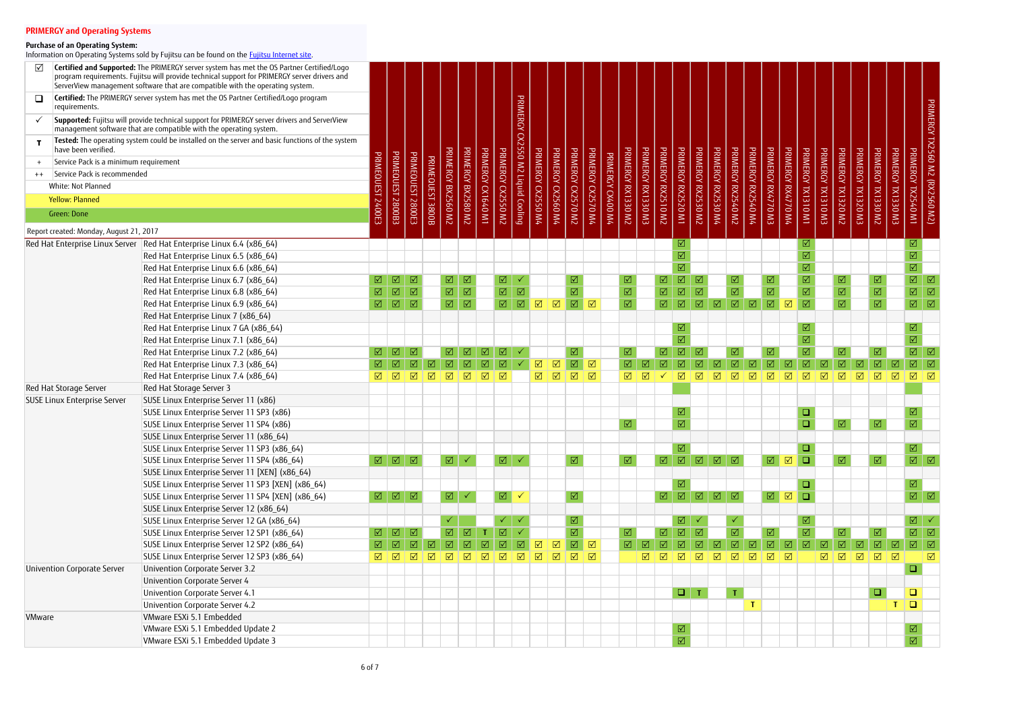| ☑                                                         | Certified and Supported: The PRIMERGY server system has met the OS Partner Certified/Logo<br>program requirements. Fujitsu will provide technical support for PRIMERGY server drivers and<br>ServerView management software that are compatible with the operating system. |                      |                                                                         |                             |                  |                             |                             |                     |                              |                          |                              |                      |                              |                         |                   |                         |                    |                                                                                           |                                            |                                       |                 |                         |                      |                                          |                      |                         |                    |                        |                                                   |                     |                              |                                                                 |
|-----------------------------------------------------------|----------------------------------------------------------------------------------------------------------------------------------------------------------------------------------------------------------------------------------------------------------------------------|----------------------|-------------------------------------------------------------------------|-----------------------------|------------------|-----------------------------|-----------------------------|---------------------|------------------------------|--------------------------|------------------------------|----------------------|------------------------------|-------------------------|-------------------|-------------------------|--------------------|-------------------------------------------------------------------------------------------|--------------------------------------------|---------------------------------------|-----------------|-------------------------|----------------------|------------------------------------------|----------------------|-------------------------|--------------------|------------------------|---------------------------------------------------|---------------------|------------------------------|-----------------------------------------------------------------|
| $\Box$<br>requirements.                                   | Certified: The PRIMERGY server system has met the OS Partner Certified/Logo program                                                                                                                                                                                        |                      |                                                                         |                             |                  |                             |                             |                     |                              |                          |                              |                      |                              |                         |                   |                         |                    |                                                                                           |                                            |                                       |                 |                         |                      |                                          |                      |                         |                    |                        |                                                   |                     |                              |                                                                 |
|                                                           | Supported: Fujitsu will provide technical support for PRIMERGY server drivers and ServerView<br>management software that are compatible with the operating system.                                                                                                         |                      |                                                                         |                             |                  |                             |                             |                     |                              | PRIMERGY                 |                              |                      |                              |                         |                   |                         |                    |                                                                                           |                                            |                                       |                 |                         |                      |                                          |                      |                         |                    |                        |                                                   |                     |                              | PRIMERGY TX2560 M2 (RX2560 M2)<br>PRIMERGY TX2560 M2 (RX2540 M1 |
|                                                           | Tested: The operating system could be installed on the server and basic functions of the system                                                                                                                                                                            |                      |                                                                         |                             |                  |                             |                             |                     |                              | CX2550 M2 Liquid Cooling |                              |                      |                              |                         |                   |                         |                    |                                                                                           |                                            |                                       |                 |                         |                      |                                          |                      |                         |                    |                        |                                                   |                     |                              |                                                                 |
| have been verified.                                       |                                                                                                                                                                                                                                                                            |                      |                                                                         |                             |                  | PRIMERGY BX2560 M2          | PRIMERGY BX2580 M2          | PRIMERGY CX1640 M1  | <b>PRIMERGY</b>              |                          | PRIMERGY CX2550 M4           | PRIMERGY CX2560 M4   | PRIMERGY CX2570 M2           | PRIMERGY CX2570 M4      |                   | PRIMERGY RX1330 M2      | PRIMERGY RX1330 M3 | PRIMERGY RX2510 M2<br>PRIMERGY RX2520 M1                                                  |                                            | PRIMERGY RX2530 M4<br><b>PRIMERGY</b> |                 | PRIMERGY RX2540 M2      | PRIMERGY RX2540 M4   | PRIMERGY RX4770 M3<br>PRIMERGY RX4770 M4 |                      | PRIMERGY                | PRIMERGY TX1310 M3 | PRIMERGY TX1320 M2     | PRIMERCY<br>PRIMERGY TX1330 M2                    | PRIMERGY            |                              |                                                                 |
| Service Pack is a minimum requirement                     |                                                                                                                                                                                                                                                                            |                      |                                                                         |                             |                  |                             |                             |                     |                              |                          |                              |                      |                              |                         |                   |                         |                    |                                                                                           |                                            |                                       |                 |                         |                      |                                          |                      |                         |                    |                        |                                                   |                     |                              |                                                                 |
| Service Pack is recommended<br>$++$<br>White: Not Planned |                                                                                                                                                                                                                                                                            |                      |                                                                         |                             |                  |                             |                             |                     |                              |                          |                              |                      |                              |                         |                   |                         |                    |                                                                                           |                                            |                                       |                 |                         |                      |                                          |                      |                         |                    |                        |                                                   |                     |                              |                                                                 |
|                                                           |                                                                                                                                                                                                                                                                            |                      |                                                                         |                             |                  |                             |                             |                     |                              |                          |                              |                      |                              |                         |                   |                         |                    |                                                                                           |                                            |                                       |                 |                         |                      |                                          |                      |                         |                    |                        |                                                   |                     |                              |                                                                 |
| <b>Yellow: Planned</b>                                    |                                                                                                                                                                                                                                                                            |                      | PRIMEQUEST 2800B3                                                       | PRIMEQUEST 2800E3           | PRIMEQUEST 3800B |                             |                             |                     | CV2550 M2                    |                          |                              |                      |                              |                         | PRIMERGY CX400 M4 |                         |                    |                                                                                           |                                            | / RX2530 M2                           |                 |                         |                      |                                          |                      | TM OTETXT               |                    |                        | <b>K TX1320 M3</b>                                | EW 025 W3           |                              |                                                                 |
| Green: Done                                               |                                                                                                                                                                                                                                                                            | 400E3                |                                                                         |                             |                  |                             |                             |                     |                              |                          |                              |                      |                              |                         |                   |                         |                    |                                                                                           |                                            |                                       |                 |                         |                      |                                          |                      |                         |                    |                        |                                                   |                     |                              |                                                                 |
| Report created: Monday, August 21, 2017                   |                                                                                                                                                                                                                                                                            |                      |                                                                         |                             |                  |                             |                             |                     |                              |                          |                              |                      |                              |                         |                   |                         |                    |                                                                                           |                                            |                                       |                 |                         |                      |                                          |                      |                         |                    |                        |                                                   |                     |                              |                                                                 |
|                                                           | Red Hat Enterprise Linux Server   Red Hat Enterprise Linux 6.4 (x86_64)                                                                                                                                                                                                    |                      |                                                                         |                             |                  |                             |                             |                     |                              |                          |                              |                      |                              |                         |                   |                         |                    |                                                                                           | ☑                                          |                                       |                 |                         |                      |                                          |                      | ☑                       |                    |                        |                                                   |                     | ☑                            |                                                                 |
|                                                           | Red Hat Enterprise Linux 6.5 (x86 64)                                                                                                                                                                                                                                      |                      |                                                                         |                             |                  |                             |                             |                     |                              |                          |                              |                      |                              |                         |                   |                         |                    |                                                                                           | $\overline{\boxtimes}$                     |                                       |                 |                         |                      |                                          |                      | $\boxtimes$             |                    |                        |                                                   |                     | $\overline{\mathbf{M}}$      |                                                                 |
|                                                           | Red Hat Enterprise Linux 6.6 (x86_64)                                                                                                                                                                                                                                      |                      |                                                                         |                             |                  |                             |                             |                     |                              |                          |                              |                      |                              |                         |                   |                         |                    |                                                                                           | $\overline{\mathsf{M}}$                    |                                       |                 |                         |                      |                                          |                      | $\boxed{\mathbf{N}}$    |                    |                        |                                                   |                     | $\overline{\mathsf{M}}$      |                                                                 |
|                                                           | Red Hat Enterprise Linux 6.7 (x86_64)                                                                                                                                                                                                                                      | ☑                    | $\Box$                                                                  | ⊠                           |                  | $\Box$                      | ⊠                           |                     | $\boxed{\mathbf{N}}$         |                          |                              |                      | ☑                            |                         |                   | ☑                       |                    | ☑                                                                                         | $\boxed{\mathbf{Z}}$<br>☑                  |                                       | ☑               |                         |                      | ☑                                        |                      | $\boxed{\text{V}}$      |                    | ☑                      | ☑                                                 |                     | $\overline{\mathbb{M}}$      | ☑                                                               |
|                                                           | Red Hat Enterprise Linux 6.8 (x86_64)                                                                                                                                                                                                                                      | $\boxed{\text{V}}$   | $\boxed{\text{V}}$                                                      | $\boxed{\triangle}$         |                  | $\overline{\mathbb{M}}$     | $\boxed{\triangle}$         |                     | $\overline{\mathbb{M}}$      | $\boxed{\triangle}$      |                              |                      | $\overline{\boxtimes}$       |                         |                   | $\boxed{\text{V}}$      |                    | $\boxed{\blacktriangledown}$                                                              | $\boxed{\triangle}$<br>$\boxed{\triangle}$ |                                       |                 | $\overline{\boxtimes}$  |                      | $\overline{\mathbf{M}}$                  |                      | $\boxed{\text{M}}$      |                    | $\boxed{\text{V}}$     | $\overline{\boxtimes}$                            |                     | $\overline{\mathbb{Z}}$      | $\boxed{\triangle}$                                             |
|                                                           | Red Hat Enterprise Linux 6.9 (x86 64)                                                                                                                                                                                                                                      | $\Box$               | $\sqrt{2}$                                                              | $\boxed{\mathbf{N}}$        |                  | $\boxed{\mathbf{N}}$        | $\boxed{\mathbf{N}}$        |                     | $\boxed{\mathbf{N}}$         | $\boxed{\text{V}}$       | $\boxed{\blacktriangledown}$ | $\boxed{\mathbf{v}}$ | $\sqrt{2}$                   | $\boxed{\mathbf{N}}$    |                   | $\overline{\mathbf{M}}$ |                    | $\overline{\mathbf{M}}$                                                                   | $\boxed{\text{V}}$<br>$\boxed{\text{V}}$   | $\boxed{\text{V}}$                    |                 | $\boxed{\text{M}}$      | $\boxed{\mathsf{N}}$ | $\boxed{\mathbf{N}}$                     | $\boxed{\mathbf{N}}$ | $\boxed{\text{M}}$      |                    | $\overline{\boxtimes}$ | $\overline{\boxtimes}$                            |                     | $\overline{\mathbb{M}}$      | $\boxed{\triangle}$                                             |
|                                                           | Red Hat Enterprise Linux 7 (x86_64)                                                                                                                                                                                                                                        |                      |                                                                         |                             |                  |                             |                             |                     |                              |                          |                              |                      |                              |                         |                   |                         |                    |                                                                                           |                                            |                                       |                 |                         |                      |                                          |                      |                         |                    |                        |                                                   |                     |                              |                                                                 |
|                                                           | Red Hat Enterprise Linux 7 GA (x86_64)                                                                                                                                                                                                                                     |                      |                                                                         |                             |                  |                             |                             |                     |                              |                          |                              |                      |                              |                         |                   |                         |                    |                                                                                           | ☑                                          |                                       |                 |                         |                      |                                          |                      |                         |                    |                        |                                                   |                     | $\boxed{\text{V}}$           |                                                                 |
|                                                           | Red Hat Enterprise Linux 7.1 (x86_64)                                                                                                                                                                                                                                      |                      |                                                                         |                             |                  |                             |                             |                     |                              |                          |                              |                      |                              |                         |                   |                         |                    |                                                                                           | $\overline{\mathsf{M}}$                    |                                       |                 |                         |                      |                                          |                      | $\boxed{\mathbf{N}}$    |                    |                        |                                                   |                     | $\overline{\mathsf{M}}$      |                                                                 |
|                                                           | Red Hat Enterprise Linux 7.2 (x86_64)                                                                                                                                                                                                                                      | ☑                    | $\boxed{\mathcal{N}}$                                                   | ☑                           |                  | ☑                           | ☑                           | ☑                   | ☑                            |                          |                              |                      | ☑                            |                         |                   | ☑                       |                    | ☑                                                                                         | $\boxed{\textstyle\diagup}$<br>☑           |                                       |                 | ☑                       |                      | ☑                                        |                      | $\boxed{\mathbf{N}}$    |                    | ☑                      | ☑                                                 |                     | $\overline{\mathbb{M}}$      | $\boxed{\triangle}$                                             |
|                                                           | Red Hat Enterprise Linux 7.3 (x86_64)                                                                                                                                                                                                                                      |                      |                                                                         | $\boxed{\textstyle\diagup}$ |                  | $\boxed{\textstyle\diagup}$ | $\boxed{\textstyle\diagup}$ | $\boxed{\text{V}}$  | $\boxed{\textstyle\diagup}$  |                          | $\overline{\mathbf{M}}$      | $\boxed{\text{V}}$   | $\overline{\mathbb{M}}$      | $\boxed{\sqrt}$         |                   |                         |                    | $\boxed{\text{V}}$                                                                        | $\boxed{\text{V}}$<br>$\boxed{\text{V}}$   | ☑                                     |                 | $\overline{\mathbb{M}}$ | $\boxed{\text{V}}$   | $\boxed{\mathbf{N}}$                     | $\boxed{\text{V}}$   | $\boxed{\mathbf{N}}$    | $\boxed{\text{V}}$ | $\boxed{\text{V}}$     | $\boxed{\text{V}}$<br>$\boxed{\textstyle\diagup}$ | ☑                   | $\overline{\mathsf{M}}$      | $\boxed{\triangle}$                                             |
|                                                           | Red Hat Enterprise Linux 7.4 (x86_64)                                                                                                                                                                                                                                      | ☑                    | $\sqrt{2}$                                                              | $\boxtimes$                 | $\triangledown$  | $\boxed{\triangle}$         | $\boxtimes$                 | $\Box$              | $\boxed{\checkmark}$         |                          | $\overline{\mathbb{M}}$      | $\boxed{\sqrt}$      | $\Box$                       | $\boxtimes$             |                   | $\boxtimes$             | ☑                  |                                                                                           | ☑<br>☑                                     | ⊠                                     | $\triangledown$ |                         | ⊠                    | ☑                                        | ☑                    | ⊠<br>ا⊽ا                |                    | ☑                      | $\triangledown$<br>$\triangledown$                | ☑                   | $\boxed{\mathbf{v}}$         | ⊠                                                               |
| Red Hat Storage Server                                    | Red Hat Storage Server 3                                                                                                                                                                                                                                                   |                      |                                                                         |                             |                  |                             |                             |                     |                              |                          |                              |                      |                              |                         |                   |                         |                    |                                                                                           |                                            |                                       |                 |                         |                      |                                          |                      |                         |                    |                        |                                                   |                     |                              |                                                                 |
| <b>SUSE Linux Enterprise Server</b>                       | SUSE Linux Enterprise Server 11 (x86)                                                                                                                                                                                                                                      |                      |                                                                         |                             |                  |                             |                             |                     |                              |                          |                              |                      |                              |                         |                   |                         |                    |                                                                                           |                                            |                                       |                 |                         |                      |                                          |                      |                         |                    |                        |                                                   |                     |                              |                                                                 |
|                                                           | SUSE Linux Enterprise Server 11 SP3 (x86)                                                                                                                                                                                                                                  |                      |                                                                         |                             |                  |                             |                             |                     |                              |                          |                              |                      |                              |                         |                   |                         |                    |                                                                                           | ☑                                          |                                       |                 |                         |                      |                                          |                      | $\Box$                  |                    |                        |                                                   |                     | ☑                            |                                                                 |
|                                                           | SUSE Linux Enterprise Server 11 SP4 (x86)                                                                                                                                                                                                                                  |                      |                                                                         |                             |                  |                             |                             |                     |                              |                          |                              |                      |                              |                         |                   | $\boxed{\text{V}}$      |                    |                                                                                           | $\overline{\mathbf{M}}$                    |                                       |                 |                         |                      |                                          |                      | $\Box$                  |                    | ☑                      | $\boxed{\text{V}}$                                |                     | $\overline{\mathsf{M}}$      |                                                                 |
|                                                           | SUSE Linux Enterprise Server 11 (x86_64)                                                                                                                                                                                                                                   |                      |                                                                         |                             |                  |                             |                             |                     |                              |                          |                              |                      |                              |                         |                   |                         |                    |                                                                                           |                                            |                                       |                 |                         |                      |                                          |                      |                         |                    |                        |                                                   |                     |                              |                                                                 |
|                                                           | SUSE Linux Enterprise Server 11 SP3 (x86_64)                                                                                                                                                                                                                               |                      |                                                                         |                             |                  |                             |                             |                     |                              |                          |                              |                      |                              |                         |                   |                         |                    |                                                                                           | $\overline{\mathbb{M}}$                    |                                       |                 |                         |                      |                                          |                      | $\Box$                  |                    |                        |                                                   |                     | $\boxed{\mathbf{N}}$         |                                                                 |
|                                                           | SUSE Linux Enterprise Server 11 SP4 (x86_64)                                                                                                                                                                                                                               |                      | $\boxed{ \triangle \ \ } \boxed{ \triangle \ \ } \boxed{ \triangle \ }$ |                             |                  | ☑│✓                         |                             |                     | ☑ √                          |                          |                              |                      | $\boxed{\triangle}$          |                         |                   | $\boxed{\triangle}$     |                    | $\begin{array}{c c c c c c} \hline \text{M} & \text{M} & \text{M} & \text{M} \end{array}$ |                                            |                                       |                 |                         |                      | $\boxed{\text{M}}$                       |                      | $\Box$                  |                    | $\boxed{\triangle}$    | ☑                                                 |                     |                              | $\boxed{\text{M}}$                                              |
|                                                           | SUSE Linux Enterprise Server 11 [XEN] (x86_64)                                                                                                                                                                                                                             |                      |                                                                         |                             |                  |                             |                             |                     |                              |                          |                              |                      |                              |                         |                   |                         |                    |                                                                                           |                                            |                                       |                 |                         |                      |                                          |                      |                         |                    |                        |                                                   |                     |                              |                                                                 |
|                                                           | SUSE Linux Enterprise Server 11 SP3 [XEN] (x86 64)                                                                                                                                                                                                                         |                      |                                                                         |                             |                  |                             |                             |                     |                              |                          |                              |                      |                              |                         |                   |                         |                    |                                                                                           | $\Delta$                                   |                                       |                 |                         |                      |                                          |                      | $\Box$                  |                    |                        |                                                   |                     | $\boxed{\triangle}$          |                                                                 |
|                                                           | SUSE Linux Enterprise Server 11 SP4 [XEN] (x86_64)                                                                                                                                                                                                                         |                      | $\boxed{ \mathbb{Q} } \ \boxed{ \mathbb{Q} } \ \boxed{ \mathbb{Q} }$    |                             |                  | ☑│✓                         |                             |                     | $\boxed{\triangle}$          |                          |                              |                      | $\boxed{\triangle}$          |                         |                   |                         |                    | $\boxed{1}$                                                                               |                                            |                                       |                 |                         |                      | $\boxed{\text{M}}$                       |                      | $\Box$                  |                    |                        |                                                   |                     |                              | $\boxed{\text{M}}$                                              |
|                                                           | SUSE Linux Enterprise Server 12 (x86_64)                                                                                                                                                                                                                                   |                      |                                                                         |                             |                  |                             |                             |                     |                              |                          |                              |                      |                              |                         |                   |                         |                    |                                                                                           |                                            |                                       |                 |                         |                      |                                          |                      |                         |                    |                        |                                                   |                     |                              |                                                                 |
|                                                           | SUSE Linux Enterprise Server 12 GA (x86_64)                                                                                                                                                                                                                                |                      |                                                                         |                             |                  |                             |                             |                     |                              |                          |                              |                      | ☑                            |                         |                   |                         |                    |                                                                                           | ☑                                          |                                       |                 |                         |                      |                                          |                      |                         |                    |                        |                                                   |                     |                              | $\boxed{\text{M}}$                                              |
|                                                           | SUSE Linux Enterprise Server 12 SP1 (x86_64)                                                                                                                                                                                                                               | ☑                    | $\boxed{\triangle}$                                                     | ⊠                           |                  | $\overline{\mathbf{M}}$     | ☑                           |                     | $\overline{\mathbb{M}}$      |                          |                              |                      | $\boxed{\blacktriangledown}$ |                         |                   | $\boxed{\text{V}}$      |                    | $\overline{\mathbb{Z}}$                                                                   | $\boxed{\mathbf{M}}$<br>☑                  |                                       |                 | $\overline{\mathbb{M}}$ |                      | $\boxed{\mathcal{N}}$                    |                      | $\overline{\mathbf{M}}$ |                    | ⊠                      | ☑                                                 |                     |                              | $\boxed{\text{M}}$                                              |
|                                                           | SUSE Linux Enterprise Server 12 SP2 (x86_64)                                                                                                                                                                                                                               | $\boxed{\mathbf{Z}}$ | $\sqrt{2}$                                                              | $\boxed{\mathbf{N}}$        | ☑                | $\boxed{\triangle}$         | $\boxtimes$                 | $\boxed{\triangle}$ | $\boxed{\blacktriangledown}$ | $\Delta$                 | $\boxed{\mathsf{N}}$         | $\boxed{\mathsf{N}}$ | $\boxed{\text{V}}$           | $\boxed{2}$             |                   |                         |                    | $\boxed{\mathbf{N}}$<br>☑                                                                 | $\boxtimes$                                | ☑                                     |                 | $\overline{\mathsf{M}}$ | $\boxed{\triangle}$  | $\boxtimes$<br>$\sqrt{2}$                |                      | $\boxed{\mathbf{Z}}$    | $\boxed{\sqrt}$    | ☑                      | $\boxed{\triangle}$<br>☑                          | $\boxed{\triangle}$ |                              | $\boxed{ \triangle \ }$                                         |
|                                                           | SUSE Linux Enterprise Server 12 SP3 (x86 64)                                                                                                                                                                                                                               | ☑                    | $\sqrt{2}$                                                              | $\sqrt{ }$                  | ☑                | $\boxed{\sqrt}$             | $\boxed{\sqrt}$             | $\boxed{2}$         | $\Delta$                     | $\sqrt{2}$               | $\boxed{\triangle}$          | $\sqrt{2}$           | $\Box$                       | $\boxed{\triangledown}$ |                   |                         | ⊠                  | ☑                                                                                         | ☑<br>$\sqrt{2}$                            | ☑                                     |                 | $\Box$                  | $\boxtimes$          | $\Box$<br>$\boxed{\triangledown}$        |                      |                         | ☑                  | ☑                      | ☑<br>⊡                                            | $\boxed{\sqrt}$     |                              | ☑                                                               |
| <b>Univention Corporate Server</b>                        | Univention Corporate Server 3.2                                                                                                                                                                                                                                            |                      |                                                                         |                             |                  |                             |                             |                     |                              |                          |                              |                      |                              |                         |                   |                         |                    |                                                                                           |                                            |                                       |                 |                         |                      |                                          |                      |                         |                    |                        |                                                   |                     | $\Box$                       |                                                                 |
|                                                           | <b>Univention Corporate Server 4</b>                                                                                                                                                                                                                                       |                      |                                                                         |                             |                  |                             |                             |                     |                              |                          |                              |                      |                              |                         |                   |                         |                    |                                                                                           |                                            |                                       |                 |                         |                      |                                          |                      |                         |                    |                        |                                                   |                     |                              |                                                                 |
|                                                           | Univention Corporate Server 4.1                                                                                                                                                                                                                                            |                      |                                                                         |                             |                  |                             |                             |                     |                              |                          |                              |                      |                              |                         |                   |                         |                    |                                                                                           | $\Box$ T                                   |                                       |                 | $\mathsf T$             |                      |                                          |                      |                         |                    |                        | $\Box$                                            |                     | $\Box$                       |                                                                 |
|                                                           | Univention Corporate Server 4.2                                                                                                                                                                                                                                            |                      |                                                                         |                             |                  |                             |                             |                     |                              |                          |                              |                      |                              |                         |                   |                         |                    |                                                                                           |                                            |                                       |                 |                         |                      |                                          |                      |                         |                    |                        |                                                   |                     | $\Box$                       |                                                                 |
| <b>VMware</b>                                             | VMware ESXi 5.1 Embedded                                                                                                                                                                                                                                                   |                      |                                                                         |                             |                  |                             |                             |                     |                              |                          |                              |                      |                              |                         |                   |                         |                    |                                                                                           |                                            |                                       |                 |                         |                      |                                          |                      |                         |                    |                        |                                                   |                     |                              |                                                                 |
|                                                           | VMware ESXi 5.1 Embedded Update 2                                                                                                                                                                                                                                          |                      |                                                                         |                             |                  |                             |                             |                     |                              |                          |                              |                      |                              |                         |                   |                         |                    |                                                                                           | $\overline{\mathbb{M}}$                    |                                       |                 |                         |                      |                                          |                      |                         |                    |                        |                                                   |                     | $\boxed{\text{M}}$           |                                                                 |
|                                                           | VMware ESXi 5.1 Embedded Update 3                                                                                                                                                                                                                                          |                      |                                                                         |                             |                  |                             |                             |                     |                              |                          |                              |                      |                              |                         |                   |                         |                    |                                                                                           | $\overline{\mathbb{M}}$                    |                                       |                 |                         |                      |                                          |                      |                         |                    |                        |                                                   |                     | $\boxed{\blacktriangledown}$ |                                                                 |

### **Purchase of an Operating System:**